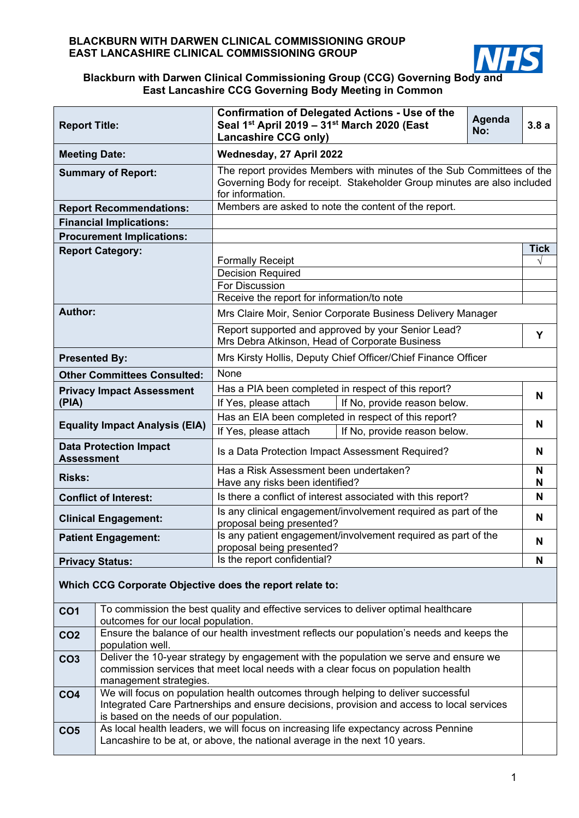

## **Blackburn with Darwen Clinical Commissioning Group (CCG) Governing Body and East Lancashire CCG Governing Body Meeting in Common**

| <b>Report Title:</b>                                     |                                                                                                                                                                                                                            | <b>Confirmation of Delegated Actions - Use of the</b><br>Agenda<br>Seal 1 <sup>st</sup> April 2019 - 31 <sup>st</sup> March 2020 (East<br>No:<br><b>Lancashire CCG only)</b> |                                                               |  |      |  |  |  |  |
|----------------------------------------------------------|----------------------------------------------------------------------------------------------------------------------------------------------------------------------------------------------------------------------------|------------------------------------------------------------------------------------------------------------------------------------------------------------------------------|---------------------------------------------------------------|--|------|--|--|--|--|
| <b>Meeting Date:</b>                                     |                                                                                                                                                                                                                            | Wednesday, 27 April 2022                                                                                                                                                     |                                                               |  |      |  |  |  |  |
|                                                          | <b>Summary of Report:</b>                                                                                                                                                                                                  | The report provides Members with minutes of the Sub Committees of the<br>Governing Body for receipt. Stakeholder Group minutes are also included<br>for information.         |                                                               |  |      |  |  |  |  |
|                                                          | <b>Report Recommendations:</b>                                                                                                                                                                                             |                                                                                                                                                                              | Members are asked to note the content of the report.          |  |      |  |  |  |  |
|                                                          | <b>Financial Implications:</b>                                                                                                                                                                                             |                                                                                                                                                                              |                                                               |  |      |  |  |  |  |
|                                                          | <b>Procurement Implications:</b>                                                                                                                                                                                           |                                                                                                                                                                              |                                                               |  |      |  |  |  |  |
|                                                          | <b>Report Category:</b>                                                                                                                                                                                                    |                                                                                                                                                                              |                                                               |  | Tick |  |  |  |  |
|                                                          |                                                                                                                                                                                                                            | <b>Formally Receipt</b><br><b>Decision Required</b>                                                                                                                          |                                                               |  | V    |  |  |  |  |
|                                                          |                                                                                                                                                                                                                            | <b>For Discussion</b>                                                                                                                                                        |                                                               |  |      |  |  |  |  |
|                                                          |                                                                                                                                                                                                                            | Receive the report for information/to note                                                                                                                                   |                                                               |  |      |  |  |  |  |
| Author:                                                  |                                                                                                                                                                                                                            |                                                                                                                                                                              | Mrs Claire Moir, Senior Corporate Business Delivery Manager   |  |      |  |  |  |  |
|                                                          |                                                                                                                                                                                                                            | Mrs Debra Atkinson, Head of Corporate Business                                                                                                                               | Report supported and approved by your Senior Lead?            |  | Y    |  |  |  |  |
| <b>Presented By:</b>                                     |                                                                                                                                                                                                                            |                                                                                                                                                                              | Mrs Kirsty Hollis, Deputy Chief Officer/Chief Finance Officer |  |      |  |  |  |  |
|                                                          | <b>Other Committees Consulted:</b>                                                                                                                                                                                         | None                                                                                                                                                                         |                                                               |  |      |  |  |  |  |
|                                                          | <b>Privacy Impact Assessment</b>                                                                                                                                                                                           | Has a PIA been completed in respect of this report?                                                                                                                          |                                                               |  |      |  |  |  |  |
| (PIA)                                                    |                                                                                                                                                                                                                            | If No, provide reason below.<br>If Yes, please attach                                                                                                                        |                                                               |  |      |  |  |  |  |
| <b>Equality Impact Analysis (EIA)</b>                    |                                                                                                                                                                                                                            | Has an EIA been completed in respect of this report?                                                                                                                         |                                                               |  |      |  |  |  |  |
|                                                          |                                                                                                                                                                                                                            | If Yes, please attach                                                                                                                                                        | If No, provide reason below.                                  |  |      |  |  |  |  |
| <b>Assessment</b>                                        | <b>Data Protection Impact</b>                                                                                                                                                                                              | Is a Data Protection Impact Assessment Required?                                                                                                                             |                                                               |  |      |  |  |  |  |
| <b>Risks:</b>                                            |                                                                                                                                                                                                                            | Has a Risk Assessment been undertaken?<br>Have any risks been identified?                                                                                                    |                                                               |  |      |  |  |  |  |
|                                                          | <b>Conflict of Interest:</b>                                                                                                                                                                                               | Is there a conflict of interest associated with this report?                                                                                                                 |                                                               |  |      |  |  |  |  |
| <b>Clinical Engagement:</b>                              |                                                                                                                                                                                                                            | Is any clinical engagement/involvement required as part of the<br>proposal being presented?                                                                                  |                                                               |  |      |  |  |  |  |
|                                                          | <b>Patient Engagement:</b>                                                                                                                                                                                                 | Is any patient engagement/involvement required as part of the<br>proposal being presented?                                                                                   |                                                               |  |      |  |  |  |  |
|                                                          | <b>Privacy Status:</b>                                                                                                                                                                                                     | Is the report confidential?                                                                                                                                                  |                                                               |  |      |  |  |  |  |
| Which CCG Corporate Objective does the report relate to: |                                                                                                                                                                                                                            |                                                                                                                                                                              |                                                               |  |      |  |  |  |  |
| CO <sub>1</sub>                                          | To commission the best quality and effective services to deliver optimal healthcare<br>outcomes for our local population.                                                                                                  |                                                                                                                                                                              |                                                               |  |      |  |  |  |  |
| CO <sub>2</sub>                                          | Ensure the balance of our health investment reflects our population's needs and keeps the<br>population well.                                                                                                              |                                                                                                                                                                              |                                                               |  |      |  |  |  |  |
| CO <sub>3</sub>                                          | Deliver the 10-year strategy by engagement with the population we serve and ensure we<br>commission services that meet local needs with a clear focus on population health<br>management strategies.                       |                                                                                                                                                                              |                                                               |  |      |  |  |  |  |
| CO <sub>4</sub>                                          | We will focus on population health outcomes through helping to deliver successful<br>Integrated Care Partnerships and ensure decisions, provision and access to local services<br>is based on the needs of our population. |                                                                                                                                                                              |                                                               |  |      |  |  |  |  |
| CO <sub>5</sub>                                          | As local health leaders, we will focus on increasing life expectancy across Pennine<br>Lancashire to be at, or above, the national average in the next 10 years.                                                           |                                                                                                                                                                              |                                                               |  |      |  |  |  |  |

**Contract Contract**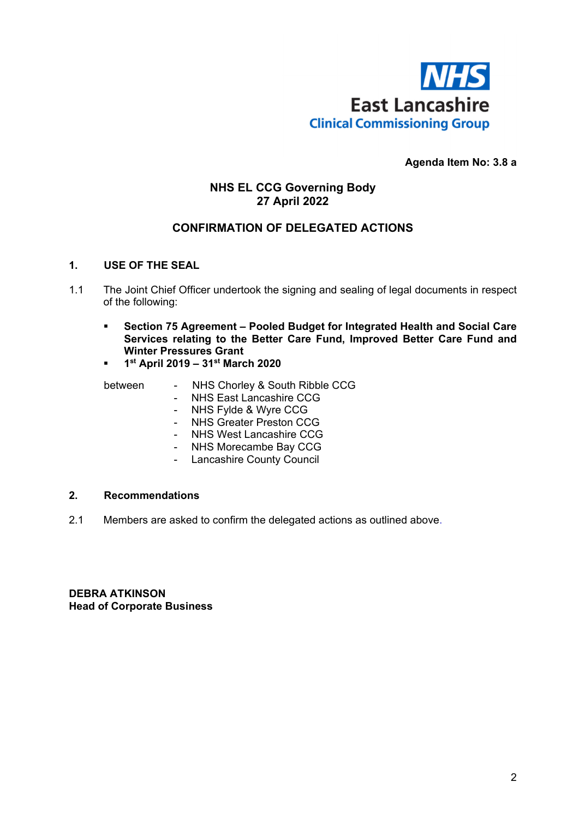

## **Agenda Item No: 3.8 a**

## **NHS EL CCG Governing Body 27 April 2022**

## **CONFIRMATION OF DELEGATED ACTIONS**

## **1. USE OF THE SEAL**

- 1.1 The Joint Chief Officer undertook the signing and sealing of legal documents in respect of the following:
	- **Section 75 Agreement Pooled Budget for Integrated Health and Social Care Services relating to the Better Care Fund, Improved Better Care Fund and Winter Pressures Grant**
	- **1st April 2019 31st March 2020**

- between NHS Chorley & South Ribble CCG<br>- NHS East Lancashire CCG - NHS East Lancashire CCG
	- NHS Fylde & Wyre CCG
	- NHS Greater Preston CCG
	- NHS West Lancashire CCG
	- NHS Morecambe Bay CCG
	- Lancashire County Council

## **2. Recommendations**

2.1 Members are asked to confirm the delegated actions as outlined above.

**DEBRA ATKINSON Head of Corporate Business**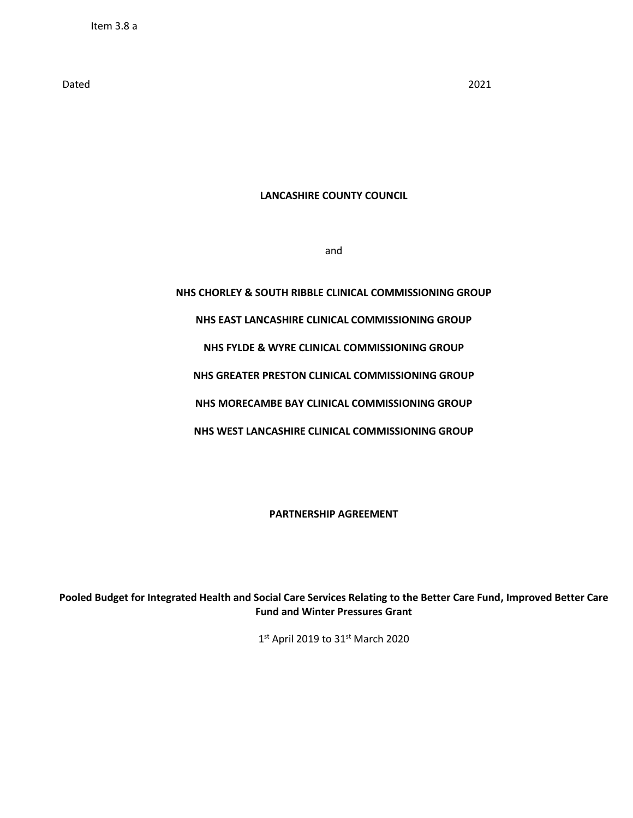Dated 2021

#### **LANCASHIRE COUNTY COUNCIL**

and

# **NHS CHORLEY & SOUTH RIBBLE CLINICAL COMMISSIONING GROUP NHS EAST LANCASHIRE CLINICAL COMMISSIONING GROUP NHS FYLDE & WYRE CLINICAL COMMISSIONING GROUP NHS GREATER PRESTON CLINICAL COMMISSIONING GROUP NHS MORECAMBE BAY CLINICAL COMMISSIONING GROUP NHS WEST LANCASHIRE CLINICAL COMMISSIONING GROUP**

**PARTNERSHIP AGREEMENT**

**Pooled Budget for Integrated Health and Social Care Services Relating to the Better Care Fund, Improved Better Care Fund and Winter Pressures Grant**

1st April 2019 to 31st March 2020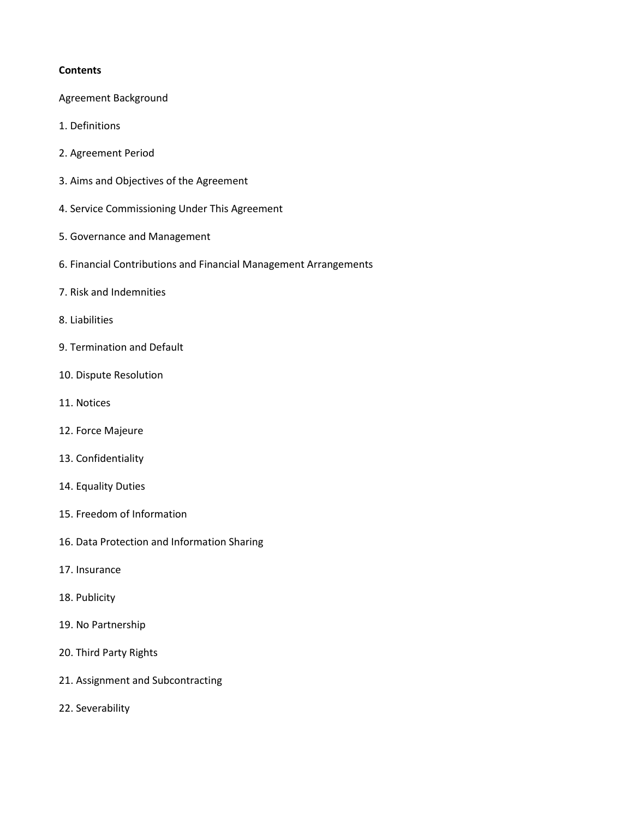## **Contents**

- Agreement Background
- 1. Definitions
- 2. Agreement Period
- 3. Aims and Objectives of the Agreement
- 4. Service Commissioning Under This Agreement
- 5. Governance and Management
- 6. Financial Contributions and Financial Management Arrangements
- 7. Risk and Indemnities
- 8. Liabilities
- 9. Termination and Default
- 10. Dispute Resolution
- 11. Notices
- 12. Force Majeure
- 13. Confidentiality
- 14. Equality Duties
- 15. Freedom of Information
- 16. Data Protection and Information Sharing
- 17. Insurance
- 18. Publicity
- 19. No Partnership
- 20. Third Party Rights
- 21. Assignment and Subcontracting
- 22. Severability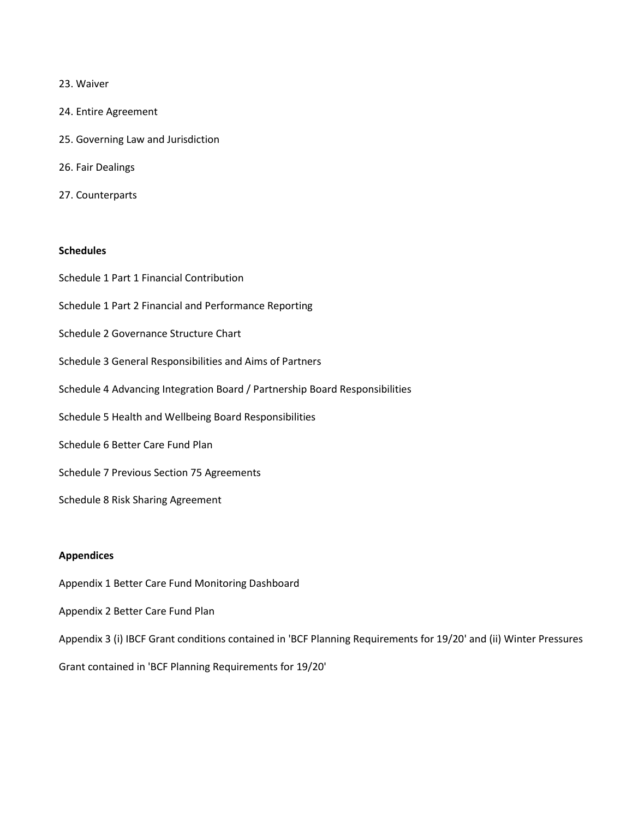#### 23. Waiver

- 24. Entire Agreement
- 25. Governing Law and Jurisdiction
- 26. Fair Dealings
- 27. Counterparts

## **Schedules**

Schedule 1 Part 1 Financial Contribution Schedule 1 Part 2 Financial and Performance Reporting Schedule 2 Governance Structure Chart Schedule 3 General Responsibilities and Aims of Partners Schedule 4 Advancing Integration Board / Partnership Board Responsibilities Schedule 5 Health and Wellbeing Board Responsibilities Schedule 6 Better Care Fund Plan Schedule 7 Previous Section 75 Agreements Schedule 8 Risk Sharing Agreement

#### **Appendices**

- Appendix 1 Better Care Fund Monitoring Dashboard
- Appendix 2 Better Care Fund Plan
- Appendix 3 (i) IBCF Grant conditions contained in 'BCF Planning Requirements for 19/20' and (ii) Winter Pressures

Grant contained in 'BCF Planning Requirements for 19/20'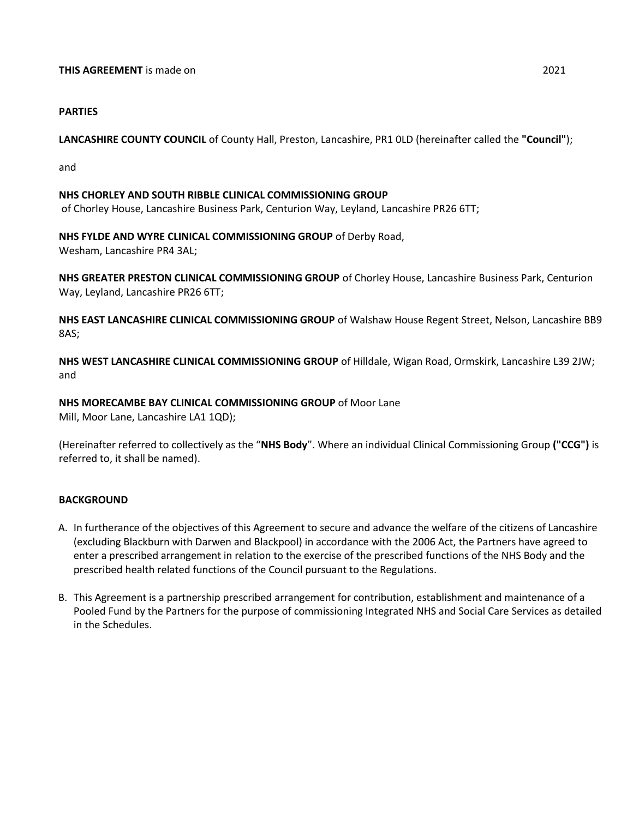## **PARTIES**

**LANCASHIRE COUNTY COUNCIL** of County Hall, Preston, Lancashire, PR1 0LD (hereinafter called the **"Council"**);

and

#### **NHS CHORLEY AND SOUTH RIBBLE CLINICAL COMMISSIONING GROUP**

of Chorley House, Lancashire Business Park, Centurion Way, Leyland, Lancashire PR26 6TT;

## **NHS FYLDE AND WYRE CLINICAL COMMISSIONING GROUP** of Derby Road,

Wesham, Lancashire PR4 3AL;

**NHS GREATER PRESTON CLINICAL COMMISSIONING GROUP** of Chorley House, Lancashire Business Park, Centurion Way, Leyland, Lancashire PR26 6TT;

**NHS EAST LANCASHIRE CLINICAL COMMISSIONING GROUP** of Walshaw House Regent Street, Nelson, Lancashire BB9 8AS;

**NHS WEST LANCASHIRE CLINICAL COMMISSIONING GROUP** of Hilldale, Wigan Road, Ormskirk, Lancashire L39 2JW; and

## **NHS MORECAMBE BAY CLINICAL COMMISSIONING GROUP** of Moor Lane

Mill, Moor Lane, Lancashire LA1 1QD);

(Hereinafter referred to collectively as the "**NHS Body**". Where an individual Clinical Commissioning Group **("CCG")** is referred to, it shall be named).

## **BACKGROUND**

- A. In furtherance of the objectives of this Agreement to secure and advance the welfare of the citizens of Lancashire (excluding Blackburn with Darwen and Blackpool) in accordance with the 2006 Act, the Partners have agreed to enter a prescribed arrangement in relation to the exercise of the prescribed functions of the NHS Body and the prescribed health related functions of the Council pursuant to the Regulations.
- B. This Agreement is a partnership prescribed arrangement for contribution, establishment and maintenance of a Pooled Fund by the Partners for the purpose of commissioning Integrated NHS and Social Care Services as detailed in the Schedules.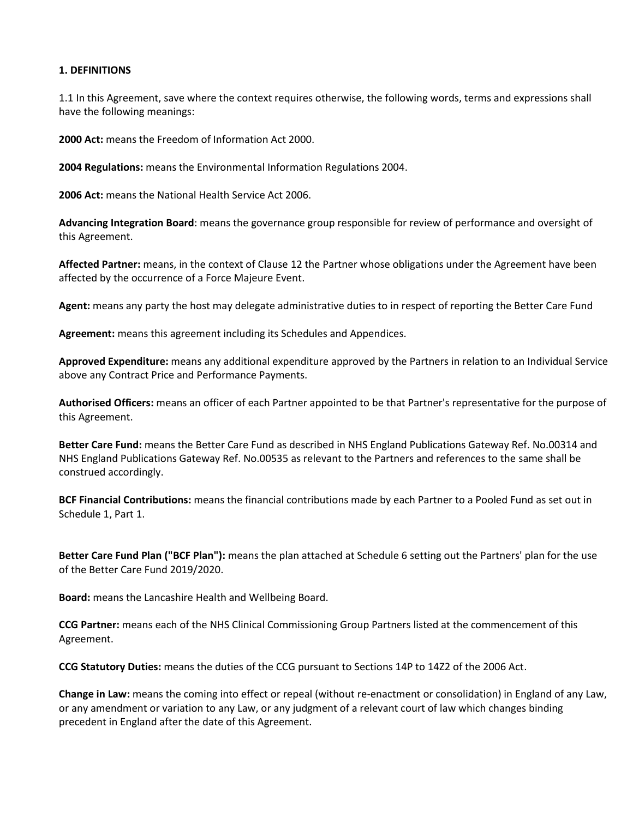#### **1. DEFINITIONS**

1.1 In this Agreement, save where the context requires otherwise, the following words, terms and expressions shall have the following meanings:

**2000 Act:** means the Freedom of Information Act 2000.

**2004 Regulations:** means the Environmental Information Regulations 2004.

**2006 Act:** means the National Health Service Act 2006.

**Advancing Integration Board**: means the governance group responsible for review of performance and oversight of this Agreement.

**Affected Partner:** means, in the context of Clause 12 the Partner whose obligations under the Agreement have been affected by the occurrence of a Force Majeure Event.

**Agent:** means any party the host may delegate administrative duties to in respect of reporting the Better Care Fund

**Agreement:** means this agreement including its Schedules and Appendices.

**Approved Expenditure:** means any additional expenditure approved by the Partners in relation to an Individual Service above any Contract Price and Performance Payments.

**Authorised Officers:** means an officer of each Partner appointed to be that Partner's representative for the purpose of this Agreement.

**Better Care Fund:** means the Better Care Fund as described in NHS England Publications Gateway Ref. No.00314 and NHS England Publications Gateway Ref. No.00535 as relevant to the Partners and references to the same shall be construed accordingly.

**BCF Financial Contributions:** means the financial contributions made by each Partner to a Pooled Fund as set out in Schedule 1, Part 1.

**Better Care Fund Plan ("BCF Plan"):** means the plan attached at Schedule 6 setting out the Partners' plan for the use of the Better Care Fund 2019/2020.

**Board:** means the Lancashire Health and Wellbeing Board.

**CCG Partner:** means each of the NHS Clinical Commissioning Group Partners listed at the commencement of this Agreement.

**CCG Statutory Duties:** means the duties of the CCG pursuant to Sections 14P to 14Z2 of the 2006 Act.

**Change in Law:** means the coming into effect or repeal (without re-enactment or consolidation) in England of any Law, or any amendment or variation to any Law, or any judgment of a relevant court of law which changes binding precedent in England after the date of this Agreement.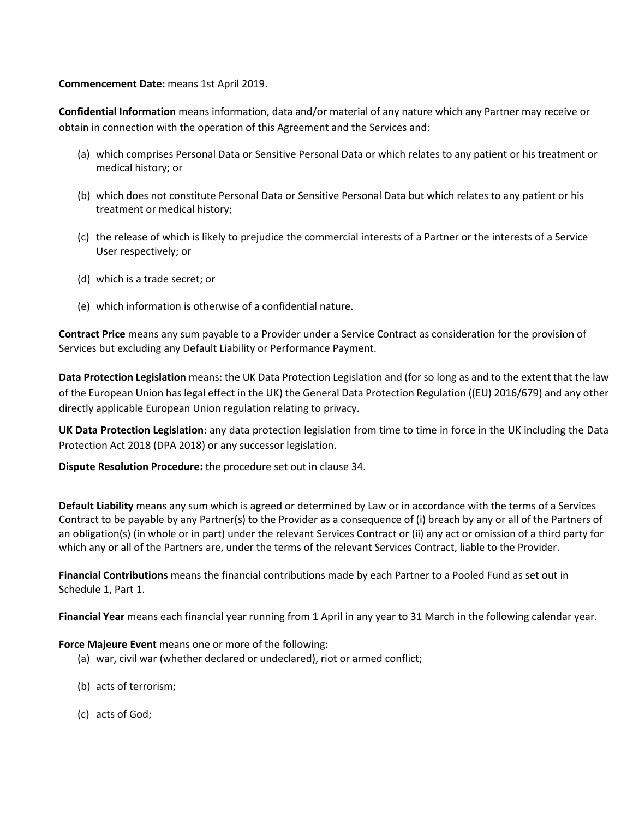**Commencement Date:** means 1st April 2019.

**Confidential Information** means information, data and/or material of any nature which any Partner may receive or obtain in connection with the operation of this Agreement and the Services and:

- (a) which comprises Personal Data or Sensitive Personal Data or which relates to any patient or his treatment or medical history; or
- (b) which does not constitute Personal Data or Sensitive Personal Data but which relates to any patient or his treatment or medical history;
- (c) the release of which is likely to prejudice the commercial interests of a Partner or the interests of a Service User respectively; or
- (d) which is a trade secret; or
- (e) which information is otherwise of a confidential nature.

**Contract Price** means any sum payable to a Provider under a Service Contract as consideration for the provision of Services but excluding any Default Liability or Performance Payment.

**Data Protection Legislation** means: the UK Data Protection Legislation and (for so long as and to the extent that the law of the European Union has legal effect in the UK) the General Data Protection Regulation ((EU) 2016/679) and any other directly applicable European Union regulation relating to privacy.

**UK Data Protection Legislation**: any data protection legislation from time to time in force in the UK including the Data Protection Act 2018 (DPA 2018) or any successor legislation.

**Dispute Resolution Procedure:** the procedure set out in clause 34.

**Default Liability** means any sum which is agreed or determined by Law or in accordance with the terms of a Services Contract to be payable by any Partner(s) to the Provider as a consequence of (i) breach by any or all of the Partners of an obligation(s) (in whole or in part) under the relevant Services Contract or (ii) any act or omission of a third party for which any or all of the Partners are, under the terms of the relevant Services Contract, liable to the Provider.

**Financial Contributions** means the financial contributions made by each Partner to a Pooled Fund as set out in Schedule 1, Part 1.

**Financial Year** means each financial year running from 1 April in any year to 31 March in the following calendar year.

**Force Majeure Event** means one or more of the following:

- (a) war, civil war (whether declared or undeclared), riot or armed conflict;
- (b) acts of terrorism;
- (c) acts of God;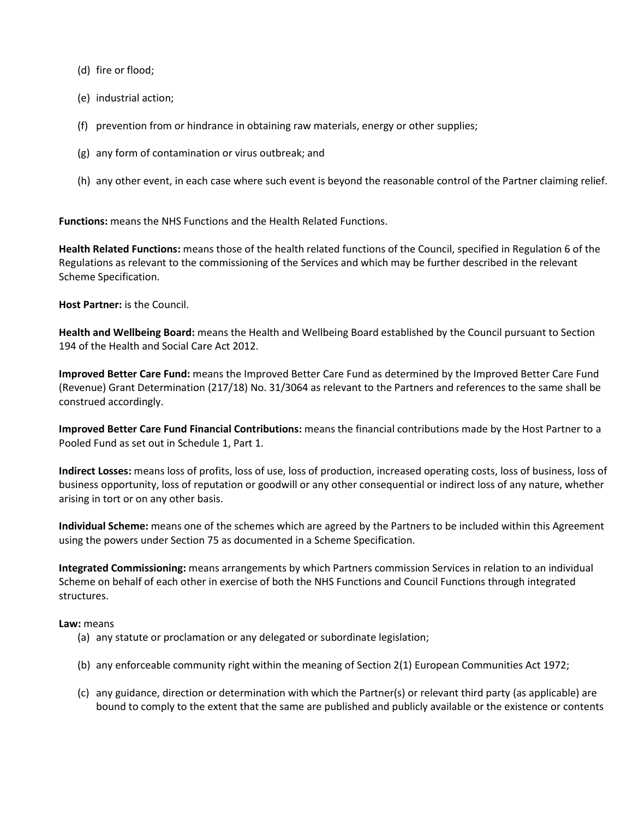(d) fire or flood;

- (e) industrial action;
- (f) prevention from or hindrance in obtaining raw materials, energy or other supplies;
- (g) any form of contamination or virus outbreak; and
- (h) any other event, in each case where such event is beyond the reasonable control of the Partner claiming relief.

**Functions:** means the NHS Functions and the Health Related Functions.

**Health Related Functions:** means those of the health related functions of the Council, specified in Regulation 6 of the Regulations as relevant to the commissioning of the Services and which may be further described in the relevant Scheme Specification.

**Host Partner:** is the Council.

**Health and Wellbeing Board:** means the Health and Wellbeing Board established by the Council pursuant to Section 194 of the Health and Social Care Act 2012.

**Improved Better Care Fund:** means the Improved Better Care Fund as determined by the Improved Better Care Fund (Revenue) Grant Determination (217/18) No. 31/3064 as relevant to the Partners and references to the same shall be construed accordingly.

**Improved Better Care Fund Financial Contributions:** means the financial contributions made by the Host Partner to a Pooled Fund as set out in Schedule 1, Part 1.

**Indirect Losses:** means loss of profits, loss of use, loss of production, increased operating costs, loss of business, loss of business opportunity, loss of reputation or goodwill or any other consequential or indirect loss of any nature, whether arising in tort or on any other basis.

**Individual Scheme:** means one of the schemes which are agreed by the Partners to be included within this Agreement using the powers under Section 75 as documented in a Scheme Specification.

**Integrated Commissioning:** means arrangements by which Partners commission Services in relation to an individual Scheme on behalf of each other in exercise of both the NHS Functions and Council Functions through integrated structures.

#### **Law:** means

- (a) any statute or proclamation or any delegated or subordinate legislation;
- (b) any enforceable community right within the meaning of Section 2(1) European Communities Act 1972;
- (c) any guidance, direction or determination with which the Partner(s) or relevant third party (as applicable) are bound to comply to the extent that the same are published and publicly available or the existence or contents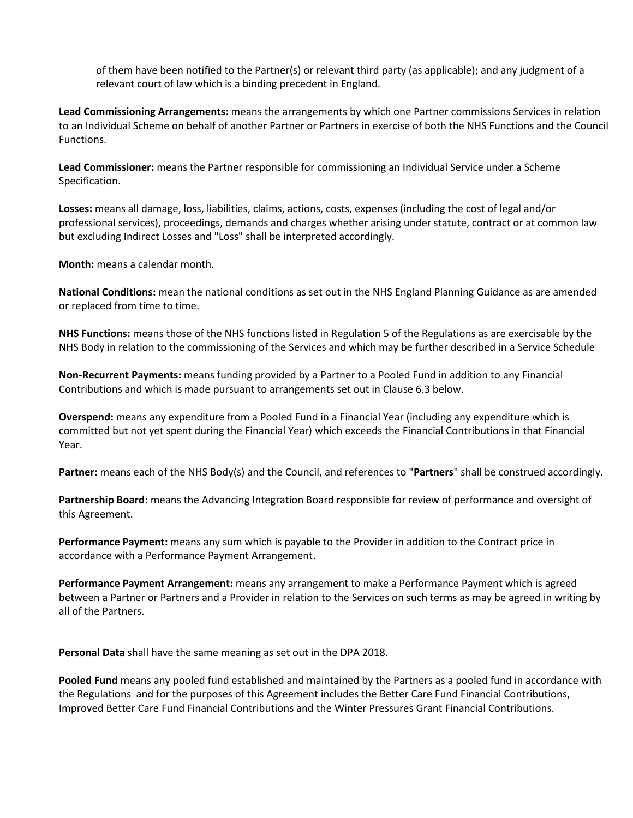of them have been notified to the Partner(s) or relevant third party (as applicable); and any judgment of a relevant court of law which is a binding precedent in England.

**Lead Commissioning Arrangements:** means the arrangements by which one Partner commissions Services in relation to an Individual Scheme on behalf of another Partner or Partners in exercise of both the NHS Functions and the Council Functions.

**Lead Commissioner:** means the Partner responsible for commissioning an Individual Service under a Scheme Specification.

**Losses:** means all damage, loss, liabilities, claims, actions, costs, expenses (including the cost of legal and/or professional services), proceedings, demands and charges whether arising under statute, contract or at common law but excluding Indirect Losses and "Loss" shall be interpreted accordingly.

**Month:** means a calendar month.

**National Conditions:** mean the national conditions as set out in the NHS England Planning Guidance as are amended or replaced from time to time.

**NHS Functions:** means those of the NHS functions listed in Regulation 5 of the Regulations as are exercisable by the NHS Body in relation to the commissioning of the Services and which may be further described in a Service Schedule

**Non-Recurrent Payments:** means funding provided by a Partner to a Pooled Fund in addition to any Financial Contributions and which is made pursuant to arrangements set out in Clause 6.3 below.

**Overspend:** means any expenditure from a Pooled Fund in a Financial Year (including any expenditure which is committed but not yet spent during the Financial Year) which exceeds the Financial Contributions in that Financial Year.

**Partner:** means each of the NHS Body(s) and the Council, and references to "**Partners**" shall be construed accordingly.

**Partnership Board:** means the Advancing Integration Board responsible for review of performance and oversight of this Agreement.

**Performance Payment:** means any sum which is payable to the Provider in addition to the Contract price in accordance with a Performance Payment Arrangement.

**Performance Payment Arrangement:** means any arrangement to make a Performance Payment which is agreed between a Partner or Partners and a Provider in relation to the Services on such terms as may be agreed in writing by all of the Partners.

**Personal Data** shall have the same meaning as set out in the DPA 2018.

**Pooled Fund** means any pooled fund established and maintained by the Partners as a pooled fund in accordance with the Regulations and for the purposes of this Agreement includes the Better Care Fund Financial Contributions, Improved Better Care Fund Financial Contributions and the Winter Pressures Grant Financial Contributions.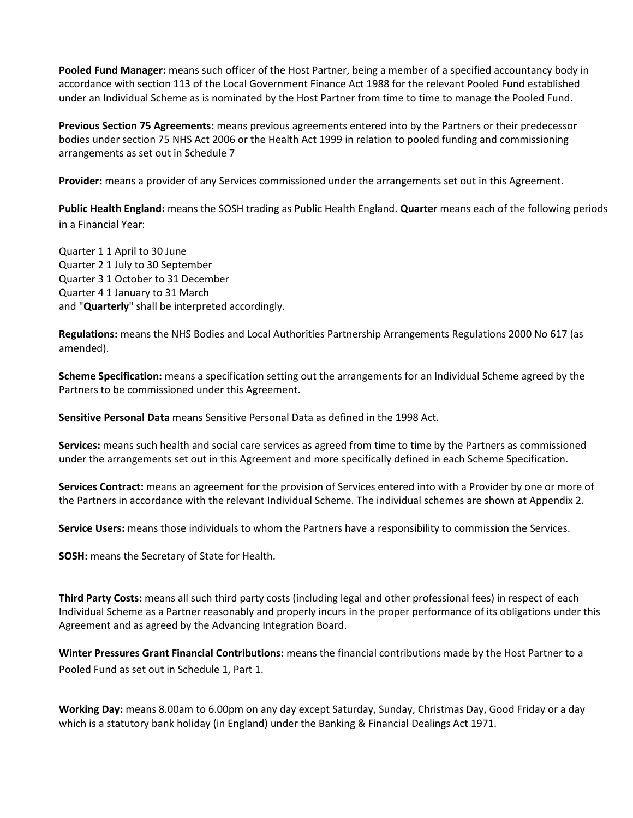**Pooled Fund Manager:** means such officer of the Host Partner, being a member of a specified accountancy body in accordance with section 113 of the Local Government Finance Act 1988 for the relevant Pooled Fund established under an Individual Scheme as is nominated by the Host Partner from time to time to manage the Pooled Fund.

**Previous Section 75 Agreements:** means previous agreements entered into by the Partners or their predecessor bodies under section 75 NHS Act 2006 or the Health Act 1999 in relation to pooled funding and commissioning arrangements as set out in Schedule 7

**Provider:** means a provider of any Services commissioned under the arrangements set out in this Agreement.

**Public Health England:** means the SOSH trading as Public Health England. **Quarter** means each of the following periods in a Financial Year:

Quarter 1 1 April to 30 June Quarter 2 1 July to 30 September Quarter 3 1 October to 31 December Quarter 4 1 January to 31 March and "**Quarterly**" shall be interpreted accordingly.

**Regulations:** means the NHS Bodies and Local Authorities Partnership Arrangements Regulations 2000 No 617 (as amended).

**Scheme Specification:** means a specification setting out the arrangements for an Individual Scheme agreed by the Partners to be commissioned under this Agreement.

**Sensitive Personal Data** means Sensitive Personal Data as defined in the 1998 Act.

**Services:** means such health and social care services as agreed from time to time by the Partners as commissioned under the arrangements set out in this Agreement and more specifically defined in each Scheme Specification.

**Services Contract:** means an agreement for the provision of Services entered into with a Provider by one or more of the Partners in accordance with the relevant Individual Scheme. The individual schemes are shown at Appendix 2.

**Service Users:** means those individuals to whom the Partners have a responsibility to commission the Services.

**SOSH:** means the Secretary of State for Health.

**Third Party Costs:** means all such third party costs (including legal and other professional fees) in respect of each Individual Scheme as a Partner reasonably and properly incurs in the proper performance of its obligations under this Agreement and as agreed by the Advancing Integration Board.

**Winter Pressures Grant Financial Contributions:** means the financial contributions made by the Host Partner to a Pooled Fund as set out in Schedule 1, Part 1.

**Working Day:** means 8.00am to 6.00pm on any day except Saturday, Sunday, Christmas Day, Good Friday or a day which is a statutory bank holiday (in England) under the Banking & Financial Dealings Act 1971.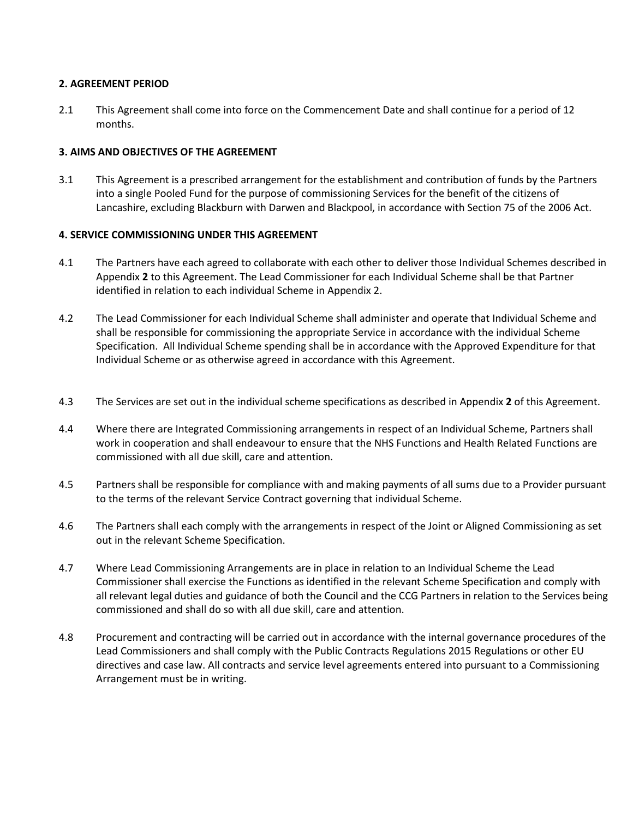#### **2. AGREEMENT PERIOD**

2.1 This Agreement shall come into force on the Commencement Date and shall continue for a period of 12 months.

## **3. AIMS AND OBJECTIVES OF THE AGREEMENT**

3.1 This Agreement is a prescribed arrangement for the establishment and contribution of funds by the Partners into a single Pooled Fund for the purpose of commissioning Services for the benefit of the citizens of Lancashire, excluding Blackburn with Darwen and Blackpool, in accordance with Section 75 of the 2006 Act.

## **4. SERVICE COMMISSIONING UNDER THIS AGREEMENT**

- 4.1 The Partners have each agreed to collaborate with each other to deliver those Individual Schemes described in Appendix **2** to this Agreement. The Lead Commissioner for each Individual Scheme shall be that Partner identified in relation to each individual Scheme in Appendix 2.
- 4.2 The Lead Commissioner for each Individual Scheme shall administer and operate that Individual Scheme and shall be responsible for commissioning the appropriate Service in accordance with the individual Scheme Specification. All Individual Scheme spending shall be in accordance with the Approved Expenditure for that Individual Scheme or as otherwise agreed in accordance with this Agreement.
- 4.3 The Services are set out in the individual scheme specifications as described in Appendix **2** of this Agreement.
- 4.4 Where there are Integrated Commissioning arrangements in respect of an Individual Scheme, Partners shall work in cooperation and shall endeavour to ensure that the NHS Functions and Health Related Functions are commissioned with all due skill, care and attention.
- 4.5 Partners shall be responsible for compliance with and making payments of all sums due to a Provider pursuant to the terms of the relevant Service Contract governing that individual Scheme.
- 4.6 The Partners shall each comply with the arrangements in respect of the Joint or Aligned Commissioning as set out in the relevant Scheme Specification.
- 4.7 Where Lead Commissioning Arrangements are in place in relation to an Individual Scheme the Lead Commissioner shall exercise the Functions as identified in the relevant Scheme Specification and comply with all relevant legal duties and guidance of both the Council and the CCG Partners in relation to the Services being commissioned and shall do so with all due skill, care and attention.
- 4.8 Procurement and contracting will be carried out in accordance with the internal governance procedures of the Lead Commissioners and shall comply with the Public Contracts Regulations 2015 Regulations or other EU directives and case law. All contracts and service level agreements entered into pursuant to a Commissioning Arrangement must be in writing.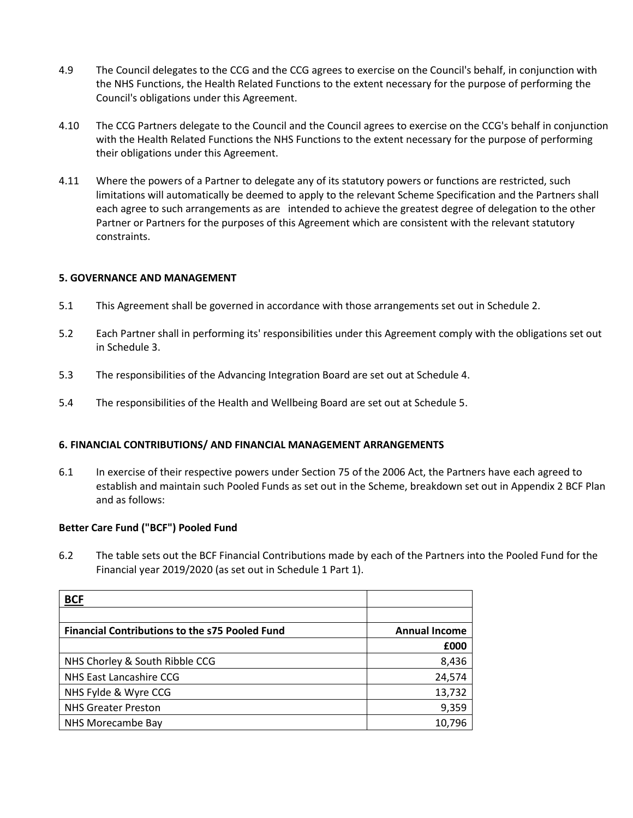- 4.9 The Council delegates to the CCG and the CCG agrees to exercise on the Council's behalf, in conjunction with the NHS Functions, the Health Related Functions to the extent necessary for the purpose of performing the Council's obligations under this Agreement.
- 4.10 The CCG Partners delegate to the Council and the Council agrees to exercise on the CCG's behalf in conjunction with the Health Related Functions the NHS Functions to the extent necessary for the purpose of performing their obligations under this Agreement.
- 4.11 Where the powers of a Partner to delegate any of its statutory powers or functions are restricted, such limitations will automatically be deemed to apply to the relevant Scheme Specification and the Partners shall each agree to such arrangements as are intended to achieve the greatest degree of delegation to the other Partner or Partners for the purposes of this Agreement which are consistent with the relevant statutory constraints.

#### **5. GOVERNANCE AND MANAGEMENT**

- 5.1 This Agreement shall be governed in accordance with those arrangements set out in Schedule 2.
- 5.2 Each Partner shall in performing its' responsibilities under this Agreement comply with the obligations set out in Schedule 3.
- 5.3 The responsibilities of the Advancing Integration Board are set out at Schedule 4.
- 5.4 The responsibilities of the Health and Wellbeing Board are set out at Schedule 5.

#### **6. FINANCIAL CONTRIBUTIONS/ AND FINANCIAL MANAGEMENT ARRANGEMENTS**

6.1 In exercise of their respective powers under Section 75 of the 2006 Act, the Partners have each agreed to establish and maintain such Pooled Funds as set out in the Scheme, breakdown set out in Appendix 2 BCF Plan and as follows:

#### **Better Care Fund ("BCF") Pooled Fund**

6.2 The table sets out the BCF Financial Contributions made by each of the Partners into the Pooled Fund for the Financial year 2019/2020 (as set out in Schedule 1 Part 1).

| <u>BCF</u>                                            |                      |
|-------------------------------------------------------|----------------------|
|                                                       |                      |
| <b>Financial Contributions to the s75 Pooled Fund</b> | <b>Annual Income</b> |
|                                                       | £000                 |
| NHS Chorley & South Ribble CCG                        | 8,436                |
| NHS East Lancashire CCG                               | 24,574               |
| NHS Fylde & Wyre CCG                                  | 13,732               |
| <b>NHS Greater Preston</b>                            | 9,359                |
| NHS Morecambe Bay                                     | 10,796               |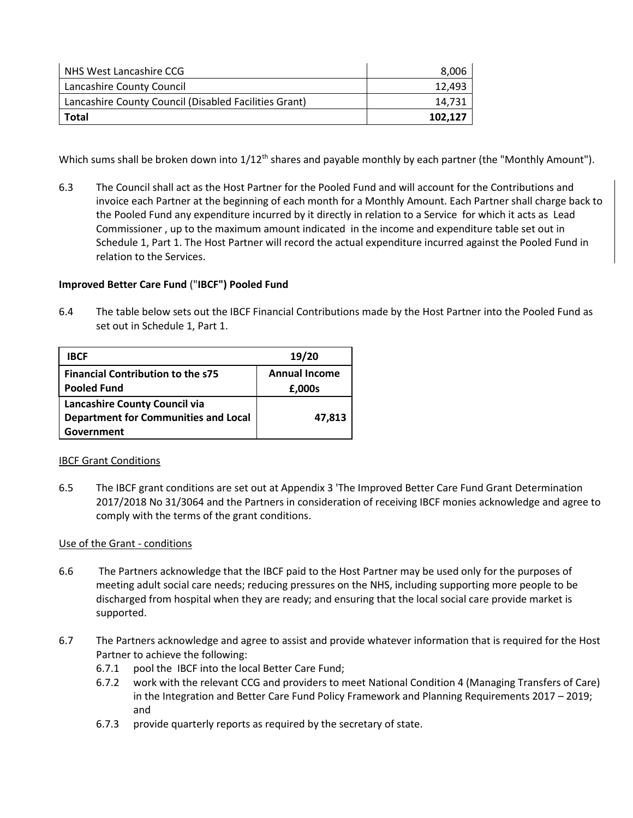| NHS West Lancashire CCG                               | 8,006   |
|-------------------------------------------------------|---------|
| Lancashire County Council                             | 12.493  |
| Lancashire County Council (Disabled Facilities Grant) | 14.731  |
| Total                                                 | 102.127 |

Which sums shall be broken down into 1/12<sup>th</sup> shares and payable monthly by each partner (the "Monthly Amount").

6.3 The Council shall act as the Host Partner for the Pooled Fund and will account for the Contributions and invoice each Partner at the beginning of each month for a Monthly Amount. Each Partner shall charge back to the Pooled Fund any expenditure incurred by it directly in relation to a Service for which it acts as Lead Commissioner , up to the maximum amount indicated in the income and expenditure table set out in Schedule 1, Part 1. The Host Partner will record the actual expenditure incurred against the Pooled Fund in relation to the Services.

## **Improved Better Care Fund** ("**IBCF") Pooled Fund**

6.4 The table below sets out the IBCF Financial Contributions made by the Host Partner into the Pooled Fund as set out in Schedule 1, Part 1.

| <b>IBCF</b>                                 | 19/20                |
|---------------------------------------------|----------------------|
| <b>Financial Contribution to the s75</b>    | <b>Annual Income</b> |
| <b>Pooled Fund</b>                          | £,000s               |
| Lancashire County Council via               |                      |
| <b>Department for Communities and Local</b> | 47,813               |
| Government                                  |                      |

#### IBCF Grant Conditions

6.5 The IBCF grant conditions are set out at Appendix 3 'The Improved Better Care Fund Grant Determination 2017/2018 No 31/3064 and the Partners in consideration of receiving IBCF monies acknowledge and agree to comply with the terms of the grant conditions.

#### Use of the Grant - conditions

- 6.6 The Partners acknowledge that the IBCF paid to the Host Partner may be used only for the purposes of meeting adult social care needs; reducing pressures on the NHS, including supporting more people to be discharged from hospital when they are ready; and ensuring that the local social care provide market is supported.
- 6.7 The Partners acknowledge and agree to assist and provide whatever information that is required for the Host Partner to achieve the following:
	- 6.7.1 pool the IBCF into the local Better Care Fund;
	- 6.7.2 work with the relevant CCG and providers to meet National Condition 4 (Managing Transfers of Care) in the Integration and Better Care Fund Policy Framework and Planning Requirements 2017 – 2019; and
	- 6.7.3 provide quarterly reports as required by the secretary of state.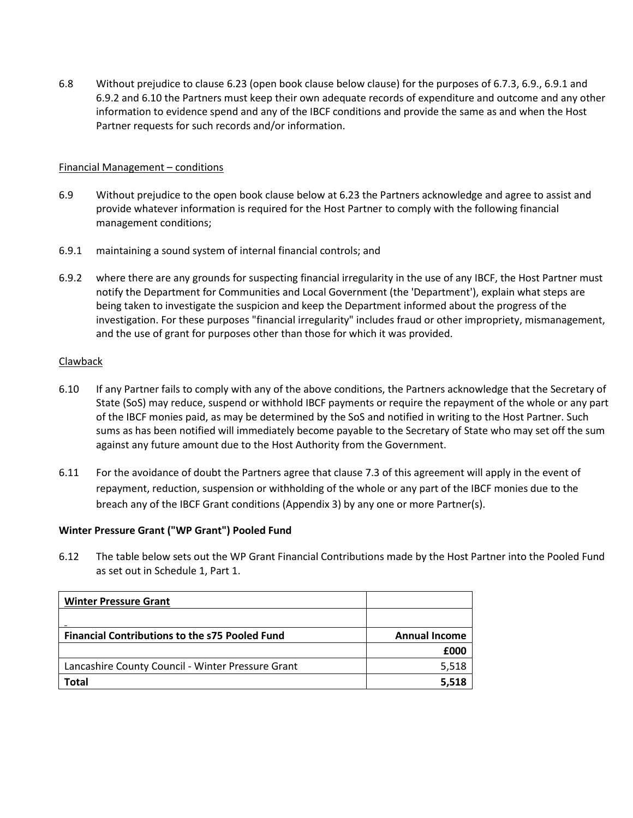6.8 Without prejudice to clause 6.23 (open book clause below clause) for the purposes of 6.7.3, 6.9., 6.9.1 and 6.9.2 and 6.10 the Partners must keep their own adequate records of expenditure and outcome and any other information to evidence spend and any of the IBCF conditions and provide the same as and when the Host Partner requests for such records and/or information.

#### Financial Management – conditions

- 6.9 Without prejudice to the open book clause below at 6.23 the Partners acknowledge and agree to assist and provide whatever information is required for the Host Partner to comply with the following financial management conditions;
- 6.9.1 maintaining a sound system of internal financial controls; and
- 6.9.2 where there are any grounds for suspecting financial irregularity in the use of any IBCF, the Host Partner must notify the Department for Communities and Local Government (the 'Department'), explain what steps are being taken to investigate the suspicion and keep the Department informed about the progress of the investigation. For these purposes "financial irregularity" includes fraud or other impropriety, mismanagement, and the use of grant for purposes other than those for which it was provided.

## Clawback

- 6.10 If any Partner fails to comply with any of the above conditions, the Partners acknowledge that the Secretary of State (SoS) may reduce, suspend or withhold IBCF payments or require the repayment of the whole or any part of the IBCF monies paid, as may be determined by the SoS and notified in writing to the Host Partner. Such sums as has been notified will immediately become payable to the Secretary of State who may set off the sum against any future amount due to the Host Authority from the Government.
- 6.11 For the avoidance of doubt the Partners agree that clause 7.3 of this agreement will apply in the event of repayment, reduction, suspension or withholding of the whole or any part of the IBCF monies due to the breach any of the IBCF Grant conditions (Appendix 3) by any one or more Partner(s).

#### **Winter Pressure Grant ("WP Grant") Pooled Fund**

6.12 The table below sets out the WP Grant Financial Contributions made by the Host Partner into the Pooled Fund as set out in Schedule 1, Part 1.

| <b>Winter Pressure Grant</b>                          |                      |
|-------------------------------------------------------|----------------------|
|                                                       |                      |
| <b>Financial Contributions to the s75 Pooled Fund</b> | <b>Annual Income</b> |
|                                                       | £000                 |
| Lancashire County Council - Winter Pressure Grant     | 5,518                |
| <b>Total</b>                                          | 5.518                |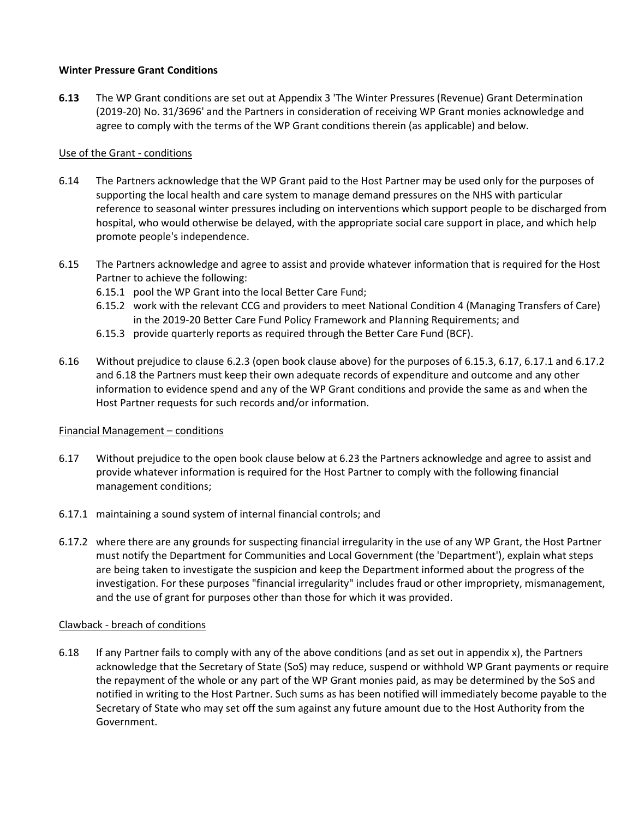#### **Winter Pressure Grant Conditions**

**6.13** The WP Grant conditions are set out at Appendix 3 'The Winter Pressures (Revenue) Grant Determination (2019-20) No. 31/3696' and the Partners in consideration of receiving WP Grant monies acknowledge and agree to comply with the terms of the WP Grant conditions therein (as applicable) and below.

#### Use of the Grant - conditions

- 6.14 The Partners acknowledge that the WP Grant paid to the Host Partner may be used only for the purposes of supporting the local health and care system to manage demand pressures on the NHS with particular reference to seasonal winter pressures including on interventions which support people to be discharged from hospital, who would otherwise be delayed, with the appropriate social care support in place, and which help promote people's independence.
- 6.15 The Partners acknowledge and agree to assist and provide whatever information that is required for the Host Partner to achieve the following:
	- 6.15.1 pool the WP Grant into the local Better Care Fund;
	- 6.15.2 work with the relevant CCG and providers to meet National Condition 4 (Managing Transfers of Care) in the 2019-20 Better Care Fund Policy Framework and Planning Requirements; and
	- 6.15.3 provide quarterly reports as required through the Better Care Fund (BCF).
- 6.16 Without prejudice to clause 6.2.3 (open book clause above) for the purposes of 6.15.3, 6.17, 6.17.1 and 6.17.2 and 6.18 the Partners must keep their own adequate records of expenditure and outcome and any other information to evidence spend and any of the WP Grant conditions and provide the same as and when the Host Partner requests for such records and/or information.

#### Financial Management – conditions

- 6.17 Without prejudice to the open book clause below at 6.23 the Partners acknowledge and agree to assist and provide whatever information is required for the Host Partner to comply with the following financial management conditions;
- 6.17.1 maintaining a sound system of internal financial controls; and
- 6.17.2 where there are any grounds for suspecting financial irregularity in the use of any WP Grant, the Host Partner must notify the Department for Communities and Local Government (the 'Department'), explain what steps are being taken to investigate the suspicion and keep the Department informed about the progress of the investigation. For these purposes "financial irregularity" includes fraud or other impropriety, mismanagement, and the use of grant for purposes other than those for which it was provided.

#### Clawback - breach of conditions

6.18 If any Partner fails to comply with any of the above conditions (and as set out in appendix x), the Partners acknowledge that the Secretary of State (SoS) may reduce, suspend or withhold WP Grant payments or require the repayment of the whole or any part of the WP Grant monies paid, as may be determined by the SoS and notified in writing to the Host Partner. Such sums as has been notified will immediately become payable to the Secretary of State who may set off the sum against any future amount due to the Host Authority from the Government.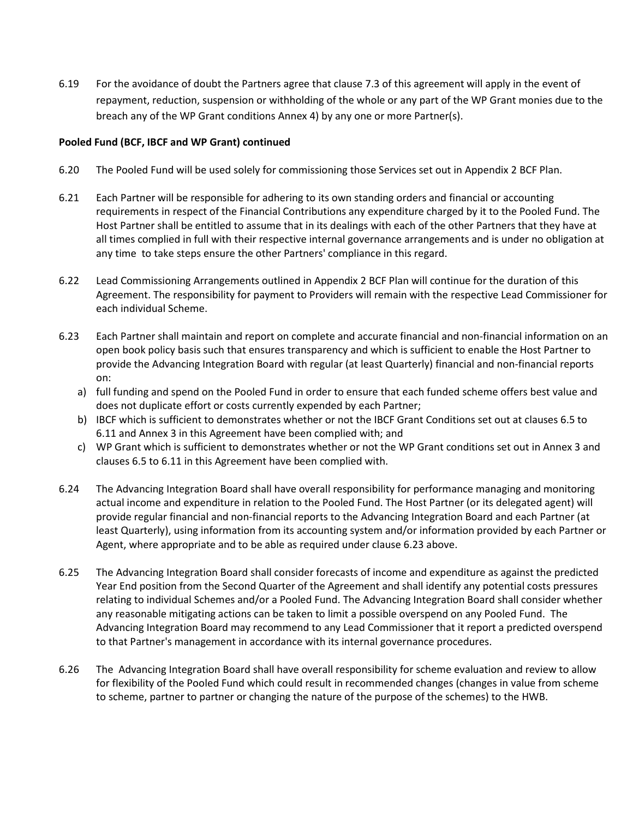6.19 For the avoidance of doubt the Partners agree that clause 7.3 of this agreement will apply in the event of repayment, reduction, suspension or withholding of the whole or any part of the WP Grant monies due to the breach any of the WP Grant conditions Annex 4) by any one or more Partner(s).

#### **Pooled Fund (BCF, IBCF and WP Grant) continued**

- 6.20 The Pooled Fund will be used solely for commissioning those Services set out in Appendix 2 BCF Plan.
- 6.21 Each Partner will be responsible for adhering to its own standing orders and financial or accounting requirements in respect of the Financial Contributions any expenditure charged by it to the Pooled Fund. The Host Partner shall be entitled to assume that in its dealings with each of the other Partners that they have at all times complied in full with their respective internal governance arrangements and is under no obligation at any time to take steps ensure the other Partners' compliance in this regard.
- 6.22 Lead Commissioning Arrangements outlined in Appendix 2 BCF Plan will continue for the duration of this Agreement. The responsibility for payment to Providers will remain with the respective Lead Commissioner for each individual Scheme.
- 6.23 Each Partner shall maintain and report on complete and accurate financial and non-financial information on an open book policy basis such that ensures transparency and which is sufficient to enable the Host Partner to provide the Advancing Integration Board with regular (at least Quarterly) financial and non-financial reports on:
	- a) full funding and spend on the Pooled Fund in order to ensure that each funded scheme offers best value and does not duplicate effort or costs currently expended by each Partner;
	- b) IBCF which is sufficient to demonstrates whether or not the IBCF Grant Conditions set out at clauses 6.5 to 6.11 and Annex 3 in this Agreement have been complied with; and
	- c) WP Grant which is sufficient to demonstrates whether or not the WP Grant conditions set out in Annex 3 and clauses 6.5 to 6.11 in this Agreement have been complied with.
- 6.24 The Advancing Integration Board shall have overall responsibility for performance managing and monitoring actual income and expenditure in relation to the Pooled Fund. The Host Partner (or its delegated agent) will provide regular financial and non-financial reports to the Advancing Integration Board and each Partner (at least Quarterly), using information from its accounting system and/or information provided by each Partner or Agent, where appropriate and to be able as required under clause 6.23 above.
- 6.25 The Advancing Integration Board shall consider forecasts of income and expenditure as against the predicted Year End position from the Second Quarter of the Agreement and shall identify any potential costs pressures relating to individual Schemes and/or a Pooled Fund. The Advancing Integration Board shall consider whether any reasonable mitigating actions can be taken to limit a possible overspend on any Pooled Fund. The Advancing Integration Board may recommend to any Lead Commissioner that it report a predicted overspend to that Partner's management in accordance with its internal governance procedures.
- 6.26 The Advancing Integration Board shall have overall responsibility for scheme evaluation and review to allow for flexibility of the Pooled Fund which could result in recommended changes (changes in value from scheme to scheme, partner to partner or changing the nature of the purpose of the schemes) to the HWB.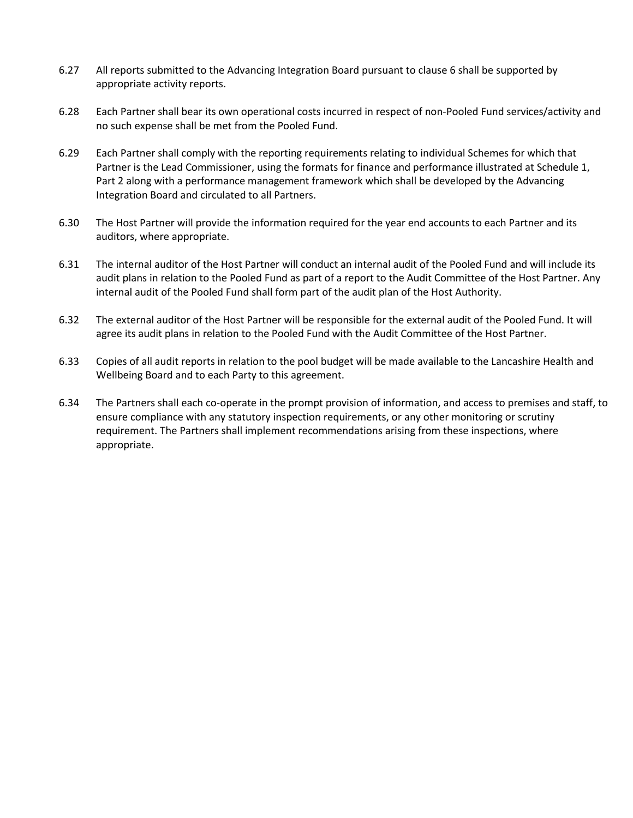- 6.27 All reports submitted to the Advancing Integration Board pursuant to clause 6 shall be supported by appropriate activity reports.
- 6.28 Each Partner shall bear its own operational costs incurred in respect of non-Pooled Fund services/activity and no such expense shall be met from the Pooled Fund.
- 6.29 Each Partner shall comply with the reporting requirements relating to individual Schemes for which that Partner is the Lead Commissioner, using the formats for finance and performance illustrated at Schedule 1, Part 2 along with a performance management framework which shall be developed by the Advancing Integration Board and circulated to all Partners.
- 6.30 The Host Partner will provide the information required for the year end accounts to each Partner and its auditors, where appropriate.
- 6.31 The internal auditor of the Host Partner will conduct an internal audit of the Pooled Fund and will include its audit plans in relation to the Pooled Fund as part of a report to the Audit Committee of the Host Partner. Any internal audit of the Pooled Fund shall form part of the audit plan of the Host Authority.
- 6.32 The external auditor of the Host Partner will be responsible for the external audit of the Pooled Fund. It will agree its audit plans in relation to the Pooled Fund with the Audit Committee of the Host Partner.
- 6.33 Copies of all audit reports in relation to the pool budget will be made available to the Lancashire Health and Wellbeing Board and to each Party to this agreement.
- 6.34 The Partners shall each co-operate in the prompt provision of information, and access to premises and staff, to ensure compliance with any statutory inspection requirements, or any other monitoring or scrutiny requirement. The Partners shall implement recommendations arising from these inspections, where appropriate.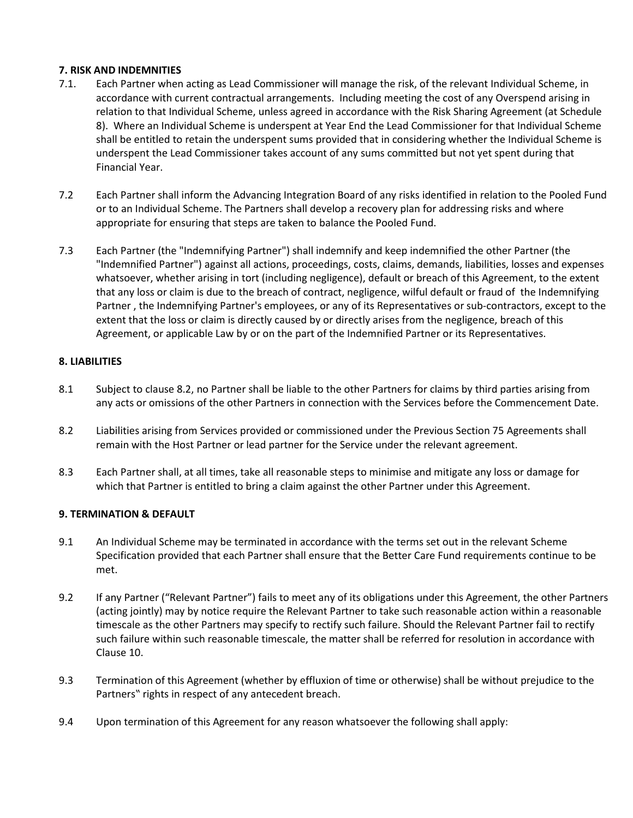#### **7. RISK AND INDEMNITIES**

- 7.1. Each Partner when acting as Lead Commissioner will manage the risk, of the relevant Individual Scheme, in accordance with current contractual arrangements. Including meeting the cost of any Overspend arising in relation to that Individual Scheme, unless agreed in accordance with the Risk Sharing Agreement (at Schedule 8). Where an Individual Scheme is underspent at Year End the Lead Commissioner for that Individual Scheme shall be entitled to retain the underspent sums provided that in considering whether the Individual Scheme is underspent the Lead Commissioner takes account of any sums committed but not yet spent during that Financial Year.
- 7.2 Each Partner shall inform the Advancing Integration Board of any risks identified in relation to the Pooled Fund or to an Individual Scheme. The Partners shall develop a recovery plan for addressing risks and where appropriate for ensuring that steps are taken to balance the Pooled Fund.
- 7.3 Each Partner (the "Indemnifying Partner") shall indemnify and keep indemnified the other Partner (the "Indemnified Partner") against all actions, proceedings, costs, claims, demands, liabilities, losses and expenses whatsoever, whether arising in tort (including negligence), default or breach of this Agreement, to the extent that any loss or claim is due to the breach of contract, negligence, wilful default or fraud of the Indemnifying Partner , the Indemnifying Partner's employees, or any of its Representatives or sub-contractors, except to the extent that the loss or claim is directly caused by or directly arises from the negligence, breach of this Agreement, or applicable Law by or on the part of the Indemnified Partner or its Representatives.

## **8. LIABILITIES**

- 8.1 Subject to clause 8.2, no Partner shall be liable to the other Partners for claims by third parties arising from any acts or omissions of the other Partners in connection with the Services before the Commencement Date.
- 8.2 Liabilities arising from Services provided or commissioned under the Previous Section 75 Agreements shall remain with the Host Partner or lead partner for the Service under the relevant agreement.
- 8.3 Each Partner shall, at all times, take all reasonable steps to minimise and mitigate any loss or damage for which that Partner is entitled to bring a claim against the other Partner under this Agreement.

## **9. TERMINATION & DEFAULT**

- 9.1 An Individual Scheme may be terminated in accordance with the terms set out in the relevant Scheme Specification provided that each Partner shall ensure that the Better Care Fund requirements continue to be met.
- 9.2 If any Partner ("Relevant Partner") fails to meet any of its obligations under this Agreement, the other Partners (acting jointly) may by notice require the Relevant Partner to take such reasonable action within a reasonable timescale as the other Partners may specify to rectify such failure. Should the Relevant Partner fail to rectify such failure within such reasonable timescale, the matter shall be referred for resolution in accordance with Clause 10.
- 9.3 Termination of this Agreement (whether by effluxion of time or otherwise) shall be without prejudice to the Partners" rights in respect of any antecedent breach.
- 9.4 Upon termination of this Agreement for any reason whatsoever the following shall apply: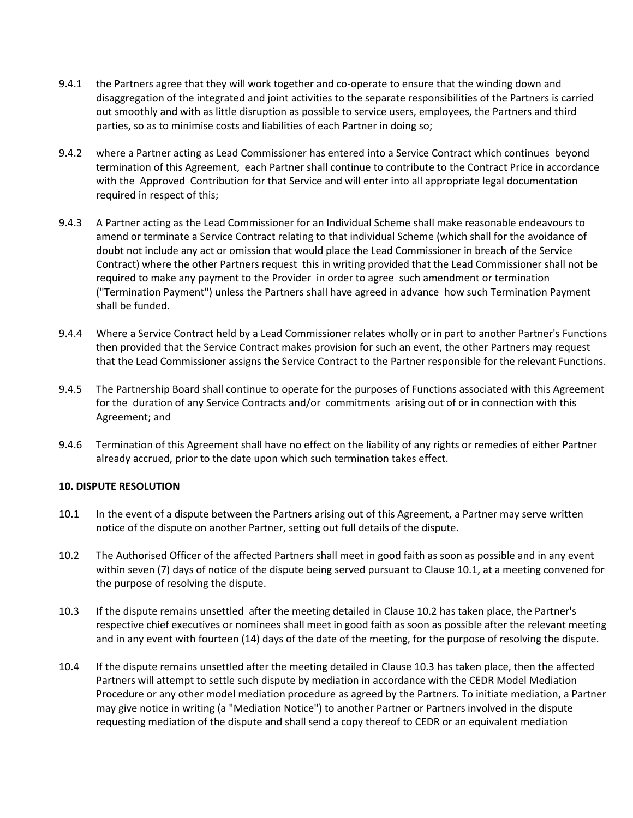- 9.4.1 the Partners agree that they will work together and co-operate to ensure that the winding down and disaggregation of the integrated and joint activities to the separate responsibilities of the Partners is carried out smoothly and with as little disruption as possible to service users, employees, the Partners and third parties, so as to minimise costs and liabilities of each Partner in doing so;
- 9.4.2 where a Partner acting as Lead Commissioner has entered into a Service Contract which continues beyond termination of this Agreement, each Partner shall continue to contribute to the Contract Price in accordance with the Approved Contribution for that Service and will enter into all appropriate legal documentation required in respect of this;
- 9.4.3 A Partner acting as the Lead Commissioner for an Individual Scheme shall make reasonable endeavours to amend or terminate a Service Contract relating to that individual Scheme (which shall for the avoidance of doubt not include any act or omission that would place the Lead Commissioner in breach of the Service Contract) where the other Partners request this in writing provided that the Lead Commissioner shall not be required to make any payment to the Provider in order to agree such amendment or termination ("Termination Payment") unless the Partners shall have agreed in advance how such Termination Payment shall be funded.
- 9.4.4 Where a Service Contract held by a Lead Commissioner relates wholly or in part to another Partner's Functions then provided that the Service Contract makes provision for such an event, the other Partners may request that the Lead Commissioner assigns the Service Contract to the Partner responsible for the relevant Functions.
- 9.4.5 The Partnership Board shall continue to operate for the purposes of Functions associated with this Agreement for the duration of any Service Contracts and/or commitments arising out of or in connection with this Agreement; and
- 9.4.6 Termination of this Agreement shall have no effect on the liability of any rights or remedies of either Partner already accrued, prior to the date upon which such termination takes effect.

#### **10. DISPUTE RESOLUTION**

- 10.1 In the event of a dispute between the Partners arising out of this Agreement, a Partner may serve written notice of the dispute on another Partner, setting out full details of the dispute.
- 10.2 The Authorised Officer of the affected Partners shall meet in good faith as soon as possible and in any event within seven (7) days of notice of the dispute being served pursuant to Clause 10.1, at a meeting convened for the purpose of resolving the dispute.
- 10.3 If the dispute remains unsettled after the meeting detailed in Clause 10.2 has taken place, the Partner's respective chief executives or nominees shall meet in good faith as soon as possible after the relevant meeting and in any event with fourteen (14) days of the date of the meeting, for the purpose of resolving the dispute.
- 10.4 If the dispute remains unsettled after the meeting detailed in Clause 10.3 has taken place, then the affected Partners will attempt to settle such dispute by mediation in accordance with the CEDR Model Mediation Procedure or any other model mediation procedure as agreed by the Partners. To initiate mediation, a Partner may give notice in writing (a "Mediation Notice") to another Partner or Partners involved in the dispute requesting mediation of the dispute and shall send a copy thereof to CEDR or an equivalent mediation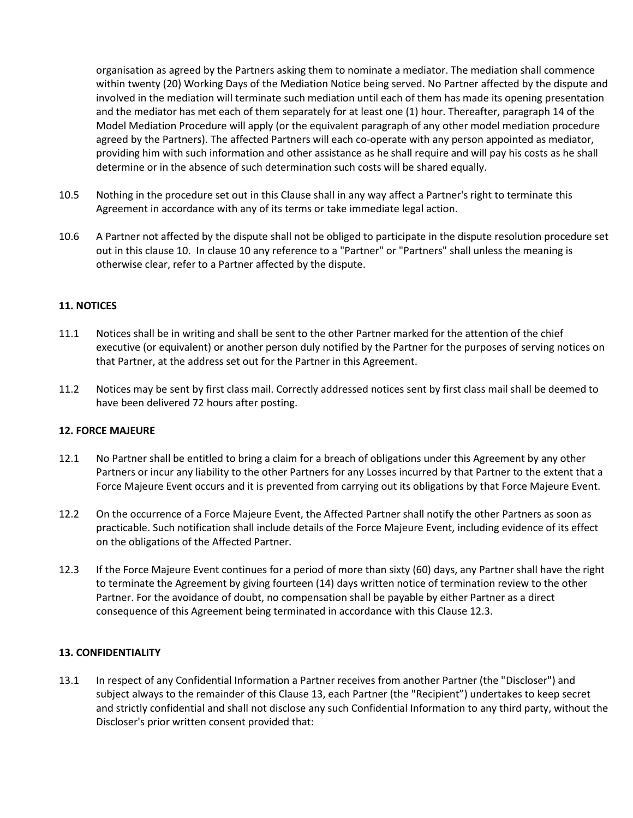organisation as agreed by the Partners asking them to nominate a mediator. The mediation shall commence within twenty (20) Working Days of the Mediation Notice being served. No Partner affected by the dispute and involved in the mediation will terminate such mediation until each of them has made its opening presentation and the mediator has met each of them separately for at least one (1) hour. Thereafter, paragraph 14 of the Model Mediation Procedure will apply (or the equivalent paragraph of any other model mediation procedure agreed by the Partners). The affected Partners will each co-operate with any person appointed as mediator, providing him with such information and other assistance as he shall require and will pay his costs as he shall determine or in the absence of such determination such costs will be shared equally.

- 10.5 Nothing in the procedure set out in this Clause shall in any way affect a Partner's right to terminate this Agreement in accordance with any of its terms or take immediate legal action.
- 10.6 A Partner not affected by the dispute shall not be obliged to participate in the dispute resolution procedure set out in this clause 10. In clause 10 any reference to a "Partner" or "Partners" shall unless the meaning is otherwise clear, refer to a Partner affected by the dispute.

#### **11. NOTICES**

- 11.1 Notices shall be in writing and shall be sent to the other Partner marked for the attention of the chief executive (or equivalent) or another person duly notified by the Partner for the purposes of serving notices on that Partner, at the address set out for the Partner in this Agreement.
- 11.2 Notices may be sent by first class mail. Correctly addressed notices sent by first class mail shall be deemed to have been delivered 72 hours after posting.

#### **12. FORCE MAJEURE**

- 12.1 No Partner shall be entitled to bring a claim for a breach of obligations under this Agreement by any other Partners or incur any liability to the other Partners for any Losses incurred by that Partner to the extent that a Force Majeure Event occurs and it is prevented from carrying out its obligations by that Force Majeure Event.
- 12.2 On the occurrence of a Force Majeure Event, the Affected Partner shall notify the other Partners as soon as practicable. Such notification shall include details of the Force Majeure Event, including evidence of its effect on the obligations of the Affected Partner.
- 12.3 If the Force Majeure Event continues for a period of more than sixty (60) days, any Partner shall have the right to terminate the Agreement by giving fourteen (14) days written notice of termination review to the other Partner. For the avoidance of doubt, no compensation shall be payable by either Partner as a direct consequence of this Agreement being terminated in accordance with this Clause 12.3.

#### **13. CONFIDENTIALITY**

13.1 In respect of any Confidential Information a Partner receives from another Partner (the "Discloser") and subject always to the remainder of this Clause 13, each Partner (the "Recipient") undertakes to keep secret and strictly confidential and shall not disclose any such Confidential Information to any third party, without the Discloser's prior written consent provided that: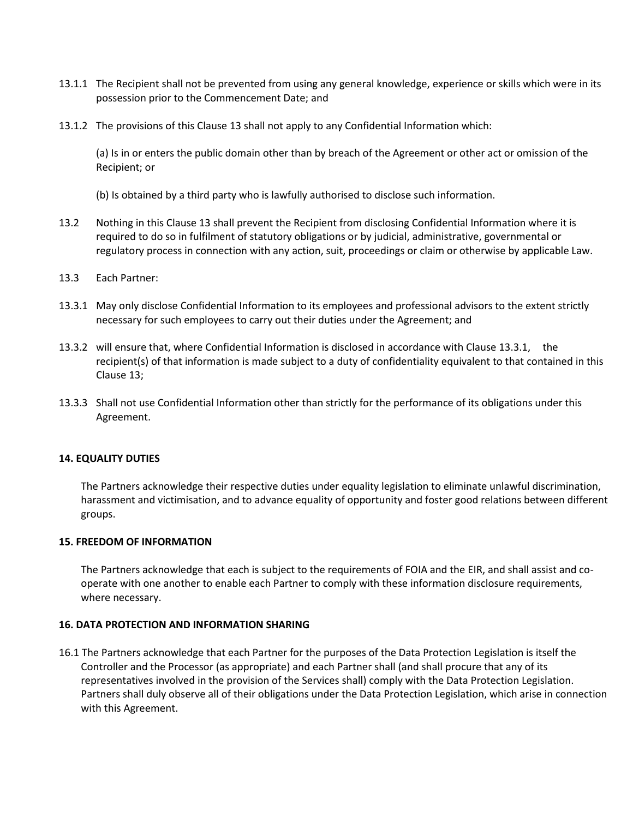- 13.1.1 The Recipient shall not be prevented from using any general knowledge, experience or skills which were in its possession prior to the Commencement Date; and
- 13.1.2 The provisions of this Clause 13 shall not apply to any Confidential Information which:

(a) Is in or enters the public domain other than by breach of the Agreement or other act or omission of the Recipient; or

- (b) Is obtained by a third party who is lawfully authorised to disclose such information.
- 13.2 Nothing in this Clause 13 shall prevent the Recipient from disclosing Confidential Information where it is required to do so in fulfilment of statutory obligations or by judicial, administrative, governmental or regulatory process in connection with any action, suit, proceedings or claim or otherwise by applicable Law.
- 13.3 Each Partner:
- 13.3.1 May only disclose Confidential Information to its employees and professional advisors to the extent strictly necessary for such employees to carry out their duties under the Agreement; and
- 13.3.2 will ensure that, where Confidential Information is disclosed in accordance with Clause 13.3.1, the recipient(s) of that information is made subject to a duty of confidentiality equivalent to that contained in this Clause 13;
- 13.3.3 Shall not use Confidential Information other than strictly for the performance of its obligations under this Agreement.

#### **14. EQUALITY DUTIES**

The Partners acknowledge their respective duties under equality legislation to eliminate unlawful discrimination, harassment and victimisation, and to advance equality of opportunity and foster good relations between different groups.

#### **15. FREEDOM OF INFORMATION**

The Partners acknowledge that each is subject to the requirements of FOIA and the EIR, and shall assist and cooperate with one another to enable each Partner to comply with these information disclosure requirements, where necessary.

#### **16. DATA PROTECTION AND INFORMATION SHARING**

16.1 The Partners acknowledge that each Partner for the purposes of the Data Protection Legislation is itself the Controller and the Processor (as appropriate) and each Partner shall (and shall procure that any of its representatives involved in the provision of the Services shall) comply with the Data Protection Legislation. Partners shall duly observe all of their obligations under the Data Protection Legislation, which arise in connection with this Agreement.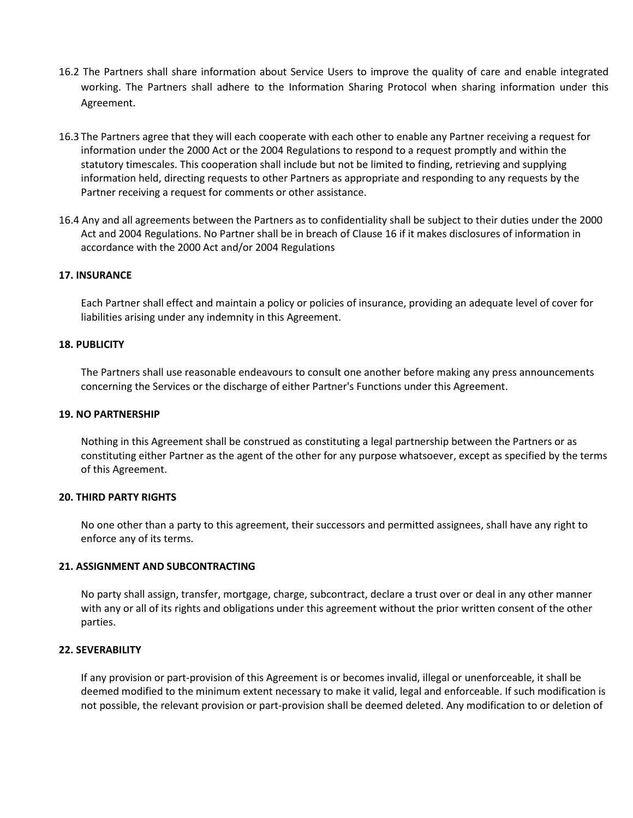- 16.2 The Partners shall share information about Service Users to improve the quality of care and enable integrated working. The Partners shall adhere to the Information Sharing Protocol when sharing information under this Agreement.
- 16.3 The Partners agree that they will each cooperate with each other to enable any Partner receiving a request for information under the 2000 Act or the 2004 Regulations to respond to a request promptly and within the statutory timescales. This cooperation shall include but not be limited to finding, retrieving and supplying information held, directing requests to other Partners as appropriate and responding to any requests by the Partner receiving a request for comments or other assistance.
- 16.4 Any and all agreements between the Partners as to confidentiality shall be subject to their duties under the 2000 Act and 2004 Regulations. No Partner shall be in breach of Clause 16 if it makes disclosures of information in accordance with the 2000 Act and/or 2004 Regulations

#### **17. INSURANCE**

Each Partner shall effect and maintain a policy or policies of insurance, providing an adequate level of cover for liabilities arising under any indemnity in this Agreement.

#### **18. PUBLICITY**

The Partners shall use reasonable endeavours to consult one another before making any press announcements concerning the Services or the discharge of either Partner's Functions under this Agreement.

#### **19. NO PARTNERSHIP**

Nothing in this Agreement shall be construed as constituting a legal partnership between the Partners or as constituting either Partner as the agent of the other for any purpose whatsoever, except as specified by the terms of this Agreement.

#### **20. THIRD PARTY RIGHTS**

No one other than a party to this agreement, their successors and permitted assignees, shall have any right to enforce any of its terms.

#### **21. ASSIGNMENT AND SUBCONTRACTING**

No party shall assign, transfer, mortgage, charge, subcontract, declare a trust over or deal in any other manner with any or all of its rights and obligations under this agreement without the prior written consent of the other parties.

#### **22. SEVERABILITY**

If any provision or part-provision of this Agreement is or becomes invalid, illegal or unenforceable, it shall be deemed modified to the minimum extent necessary to make it valid, legal and enforceable. If such modification is not possible, the relevant provision or part-provision shall be deemed deleted. Any modification to or deletion of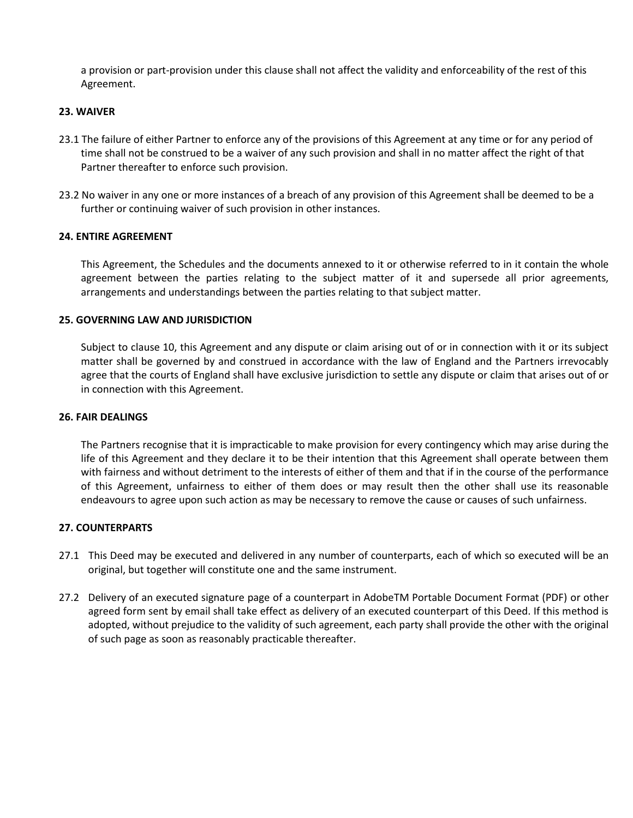a provision or part-provision under this clause shall not affect the validity and enforceability of the rest of this Agreement.

#### **23. WAIVER**

- 23.1 The failure of either Partner to enforce any of the provisions of this Agreement at any time or for any period of time shall not be construed to be a waiver of any such provision and shall in no matter affect the right of that Partner thereafter to enforce such provision.
- 23.2 No waiver in any one or more instances of a breach of any provision of this Agreement shall be deemed to be a further or continuing waiver of such provision in other instances.

#### **24. ENTIRE AGREEMENT**

This Agreement, the Schedules and the documents annexed to it or otherwise referred to in it contain the whole agreement between the parties relating to the subject matter of it and supersede all prior agreements, arrangements and understandings between the parties relating to that subject matter.

#### **25. GOVERNING LAW AND JURISDICTION**

Subject to clause 10, this Agreement and any dispute or claim arising out of or in connection with it or its subject matter shall be governed by and construed in accordance with the law of England and the Partners irrevocably agree that the courts of England shall have exclusive jurisdiction to settle any dispute or claim that arises out of or in connection with this Agreement.

#### **26. FAIR DEALINGS**

The Partners recognise that it is impracticable to make provision for every contingency which may arise during the life of this Agreement and they declare it to be their intention that this Agreement shall operate between them with fairness and without detriment to the interests of either of them and that if in the course of the performance of this Agreement, unfairness to either of them does or may result then the other shall use its reasonable endeavours to agree upon such action as may be necessary to remove the cause or causes of such unfairness.

#### **27. COUNTERPARTS**

- 27.1 This Deed may be executed and delivered in any number of counterparts, each of which so executed will be an original, but together will constitute one and the same instrument.
- 27.2 Delivery of an executed signature page of a counterpart in AdobeTM Portable Document Format (PDF) or other agreed form sent by email shall take effect as delivery of an executed counterpart of this Deed. If this method is adopted, without prejudice to the validity of such agreement, each party shall provide the other with the original of such page as soon as reasonably practicable thereafter.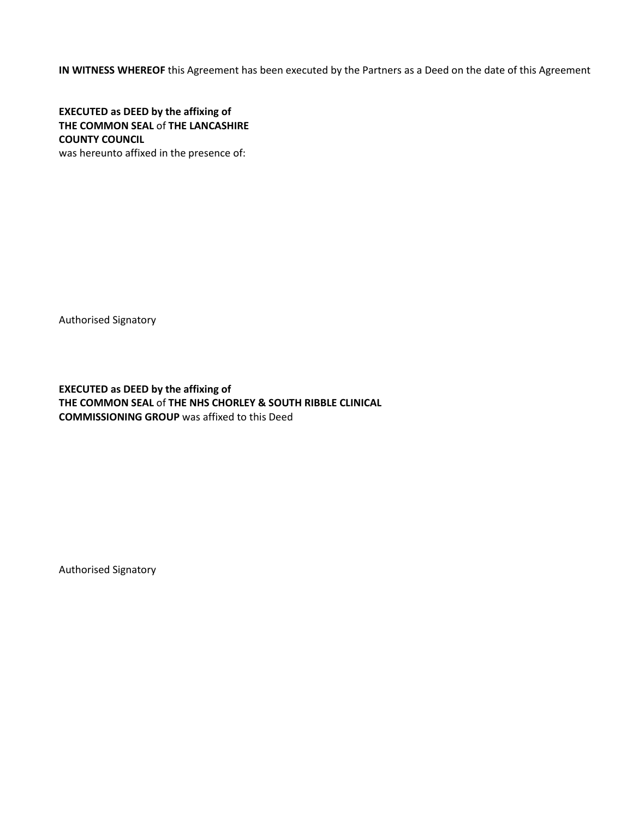**IN WITNESS WHEREOF** this Agreement has been executed by the Partners as a Deed on the date of this Agreement

**EXECUTED as DEED by the affixing of THE COMMON SEAL** of **THE LANCASHIRE COUNTY COUNCIL**  was hereunto affixed in the presence of:

Authorised Signatory

**EXECUTED as DEED by the affixing of THE COMMON SEAL** of **THE NHS CHORLEY & SOUTH RIBBLE CLINICAL COMMISSIONING GROUP** was affixed to this Deed

Authorised Signatory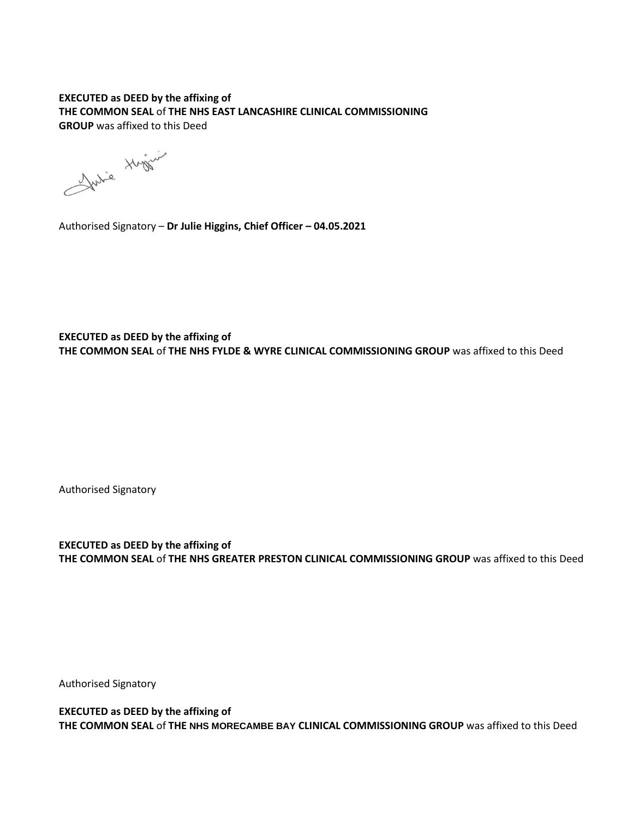## **EXECUTED as DEED by the affixing of THE COMMON SEAL** of **THE NHS EAST LANCASHIRE CLINICAL COMMISSIONING GROUP** was affixed to this Deed

Julie Huger

Authorised Signatory – **Dr Julie Higgins, Chief Officer – 04.05.2021**

**EXECUTED as DEED by the affixing of THE COMMON SEAL** of **THE NHS FYLDE & WYRE CLINICAL COMMISSIONING GROUP** was affixed to this Deed

Authorised Signatory

**EXECUTED as DEED by the affixing of THE COMMON SEAL** of **THE NHS GREATER PRESTON CLINICAL COMMISSIONING GROUP** was affixed to this Deed

Authorised Signatory

**EXECUTED as DEED by the affixing of THE COMMON SEAL** of **THE NHS MORECAMBE BAY CLINICAL COMMISSIONING GROUP** was affixed to this Deed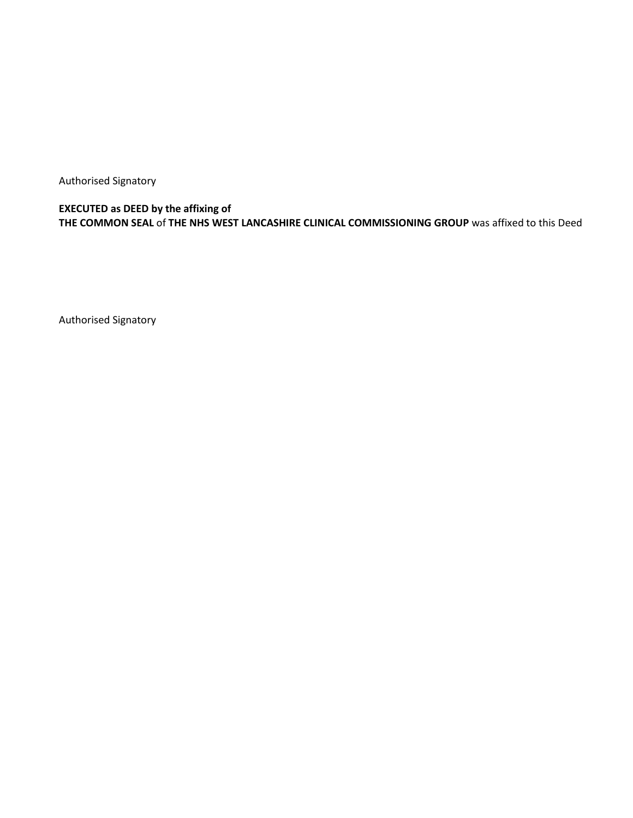Authorised Signatory

**EXECUTED as DEED by the affixing of THE COMMON SEAL** of **THE NHS WEST LANCASHIRE CLINICAL COMMISSIONING GROUP** was affixed to this Deed

Authorised Signatory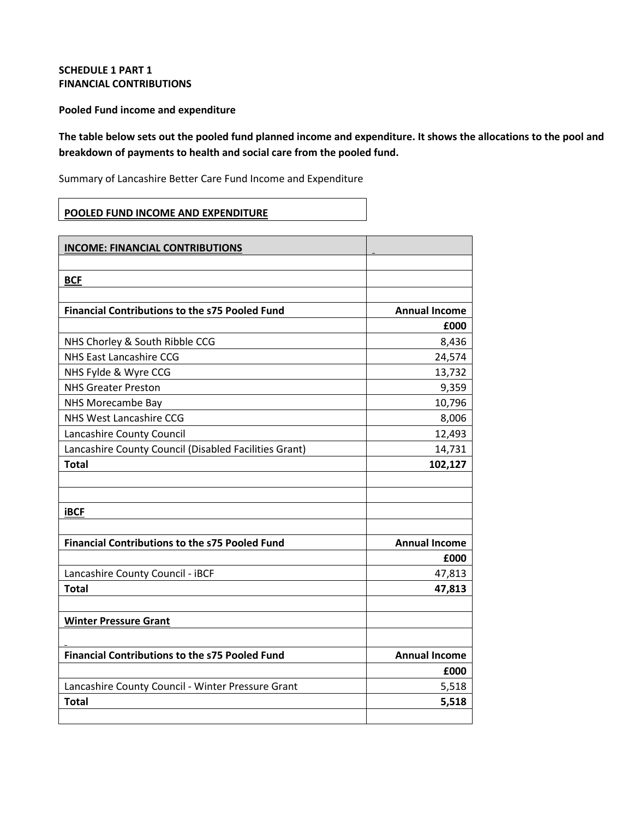## **SCHEDULE 1 PART 1 FINANCIAL CONTRIBUTIONS**

**Pooled Fund income and expenditure** 

**The table below sets out the pooled fund planned income and expenditure. It shows the allocations to the pool and breakdown of payments to health and social care from the pooled fund.**

Summary of Lancashire Better Care Fund Income and Expenditure

## **POOLED FUND INCOME AND EXPENDITURE**

| <b>INCOME: FINANCIAL CONTRIBUTIONS</b>                |                      |
|-------------------------------------------------------|----------------------|
|                                                       |                      |
| <b>BCF</b>                                            |                      |
|                                                       |                      |
| <b>Financial Contributions to the s75 Pooled Fund</b> | <b>Annual Income</b> |
|                                                       | £000                 |
| NHS Chorley & South Ribble CCG                        | 8,436                |
| <b>NHS East Lancashire CCG</b>                        | 24,574               |
| NHS Fylde & Wyre CCG                                  | 13,732               |
| <b>NHS Greater Preston</b>                            | 9,359                |
| NHS Morecambe Bay                                     | 10,796               |
| NHS West Lancashire CCG                               | 8,006                |
| Lancashire County Council                             | 12,493               |
| Lancashire County Council (Disabled Facilities Grant) | 14,731               |
| <b>Total</b>                                          | 102,127              |
|                                                       |                      |
|                                                       |                      |
| <b>iBCF</b>                                           |                      |
|                                                       |                      |
| <b>Financial Contributions to the s75 Pooled Fund</b> | <b>Annual Income</b> |
|                                                       | £000                 |
| Lancashire County Council - iBCF                      | 47,813               |
| <b>Total</b>                                          | 47,813               |
|                                                       |                      |
| <b>Winter Pressure Grant</b>                          |                      |
|                                                       |                      |
| <b>Financial Contributions to the s75 Pooled Fund</b> | <b>Annual Income</b> |
|                                                       | £000                 |
| Lancashire County Council - Winter Pressure Grant     | 5,518                |
| <b>Total</b>                                          | 5,518                |
|                                                       |                      |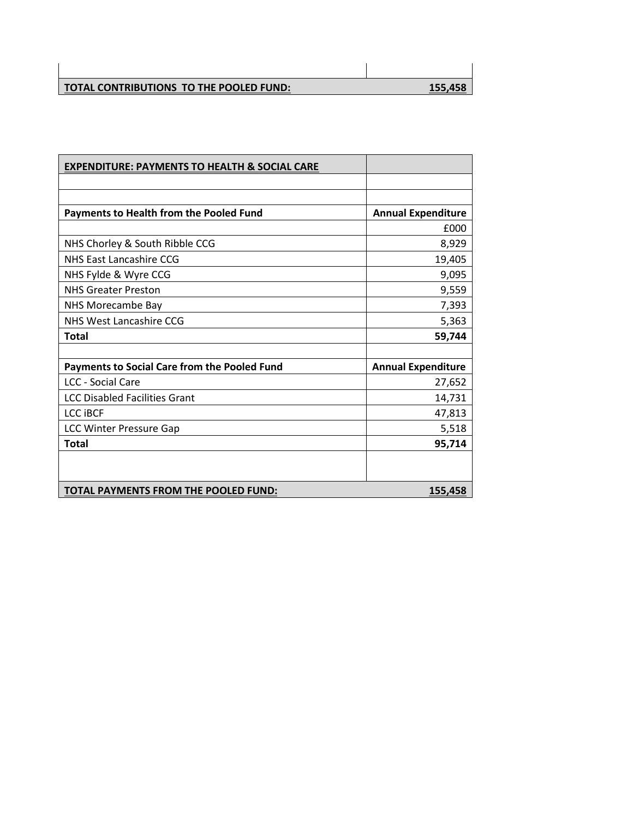| TOTAL CONTRIBUTIONS TO THE POOLED FUND: | <u>155,458</u> |
|-----------------------------------------|----------------|

| <b>EXPENDITURE: PAYMENTS TO HEALTH &amp; SOCIAL CARE</b> |                           |
|----------------------------------------------------------|---------------------------|
|                                                          |                           |
|                                                          |                           |
| <b>Payments to Health from the Pooled Fund</b>           | <b>Annual Expenditure</b> |
|                                                          | £000                      |
| NHS Chorley & South Ribble CCG                           | 8,929                     |
| NHS East Lancashire CCG                                  | 19,405                    |
| NHS Fylde & Wyre CCG                                     | 9,095                     |
| <b>NHS Greater Preston</b>                               | 9,559                     |
| NHS Morecambe Bay                                        | 7,393                     |
| NHS West Lancashire CCG                                  | 5,363                     |
| <b>Total</b>                                             | 59,744                    |
|                                                          |                           |
| Payments to Social Care from the Pooled Fund             | <b>Annual Expenditure</b> |
| <b>LCC - Social Care</b>                                 | 27,652                    |
| <b>LCC Disabled Facilities Grant</b>                     | 14,731                    |
| <b>LCC IBCF</b>                                          | 47,813                    |
| <b>LCC Winter Pressure Gap</b>                           | 5,518                     |
| <b>Total</b>                                             | 95,714                    |
|                                                          |                           |
|                                                          |                           |
| TOTAL PAYMENTS FROM THE POOLED FUND:                     | 155,458                   |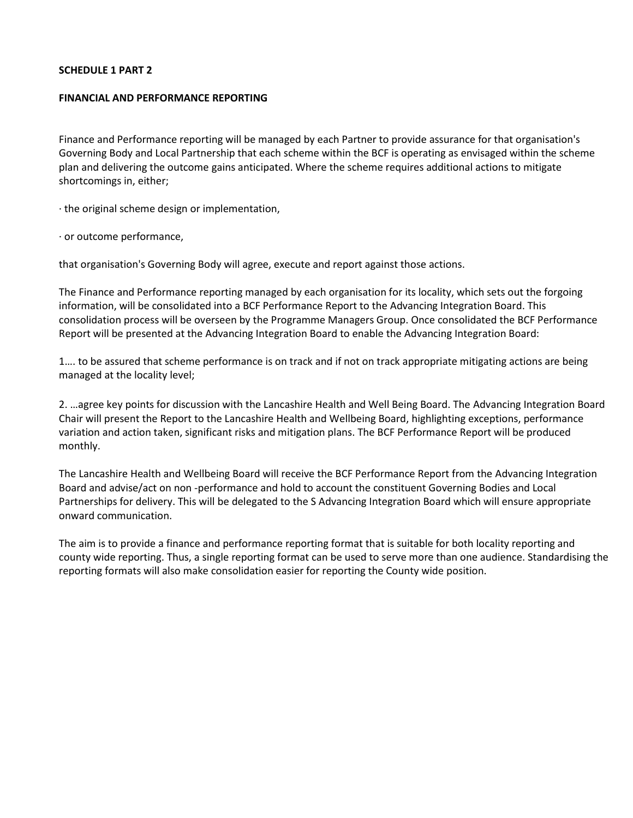#### **SCHEDULE 1 PART 2**

#### **FINANCIAL AND PERFORMANCE REPORTING**

Finance and Performance reporting will be managed by each Partner to provide assurance for that organisation's Governing Body and Local Partnership that each scheme within the BCF is operating as envisaged within the scheme plan and delivering the outcome gains anticipated. Where the scheme requires additional actions to mitigate shortcomings in, either;

· the original scheme design or implementation,

· or outcome performance,

that organisation's Governing Body will agree, execute and report against those actions.

The Finance and Performance reporting managed by each organisation for its locality, which sets out the forgoing information, will be consolidated into a BCF Performance Report to the Advancing Integration Board. This consolidation process will be overseen by the Programme Managers Group. Once consolidated the BCF Performance Report will be presented at the Advancing Integration Board to enable the Advancing Integration Board:

1…. to be assured that scheme performance is on track and if not on track appropriate mitigating actions are being managed at the locality level;

2. …agree key points for discussion with the Lancashire Health and Well Being Board. The Advancing Integration Board Chair will present the Report to the Lancashire Health and Wellbeing Board, highlighting exceptions, performance variation and action taken, significant risks and mitigation plans. The BCF Performance Report will be produced monthly.

The Lancashire Health and Wellbeing Board will receive the BCF Performance Report from the Advancing Integration Board and advise/act on non -performance and hold to account the constituent Governing Bodies and Local Partnerships for delivery. This will be delegated to the S Advancing Integration Board which will ensure appropriate onward communication.

The aim is to provide a finance and performance reporting format that is suitable for both locality reporting and county wide reporting. Thus, a single reporting format can be used to serve more than one audience. Standardising the reporting formats will also make consolidation easier for reporting the County wide position.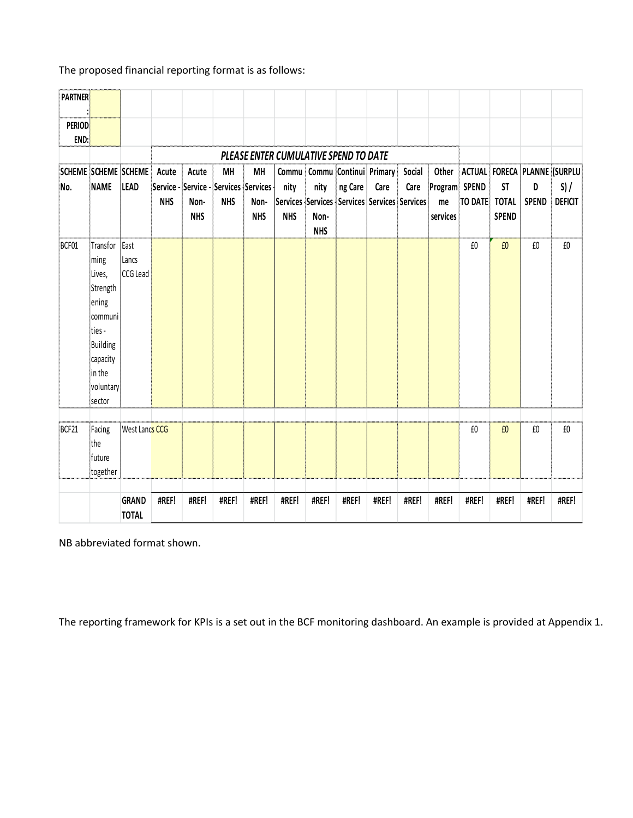The proposed financial reporting format is as follows:

| <b>PARTNER</b><br><b>PERIOD</b> |                                                                                                                                      |                              |                     |                             |                                                                  |                          |                                       |                            |         |                                                                                |                |                                          |                |                                           |                   |                                                        |
|---------------------------------|--------------------------------------------------------------------------------------------------------------------------------------|------------------------------|---------------------|-----------------------------|------------------------------------------------------------------|--------------------------|---------------------------------------|----------------------------|---------|--------------------------------------------------------------------------------|----------------|------------------------------------------|----------------|-------------------------------------------|-------------------|--------------------------------------------------------|
| END:                            |                                                                                                                                      |                              |                     |                             |                                                                  |                          |                                       |                            |         |                                                                                |                |                                          |                |                                           |                   |                                                        |
|                                 |                                                                                                                                      |                              |                     |                             |                                                                  |                          | PLEASE ENTER CUMULATIVE SPEND TO DATE |                            |         |                                                                                |                |                                          |                |                                           |                   |                                                        |
| SCHEME SCHEME SCHEME<br>No.     | <b>NAME</b>                                                                                                                          | LEAD                         | Acute<br><b>NHS</b> | Acute<br>Non-<br><b>NHS</b> | <b>MH</b><br>Service - Service - Services Services<br><b>NHS</b> | MH<br>Non-<br><b>NHS</b> | Commu<br>nity<br><b>NHS</b>           | nity<br>Non-<br><b>NHS</b> | ng Care | Commu Continui Primary<br>Care<br>Services Services Services Services Services | Social<br>Care | Other<br>Program SPEND<br>me<br>services | <b>TO DATE</b> | <b>ST</b><br><b>TOTAL</b><br><b>SPEND</b> | D<br><b>SPEND</b> | ACTUAL FORECA PLANNE (SURPLU<br>S) /<br><b>DEFICIT</b> |
| BCF01                           | Transfor<br>ming<br>Lives,<br>Strength<br>ening<br>communi<br>ties -<br><b>Building</b><br>capacity<br>in the<br>voluntary<br>sector | East<br>Lancs<br>CCG Lead    |                     |                             |                                                                  |                          |                                       |                            |         |                                                                                |                |                                          | £0             | £0                                        | $\pmb{\text{f0}}$ | $\pmb{\text{f0}}$                                      |
| BCF21                           | Facing<br>the<br>future<br>together                                                                                                  | West Lancs CCG               |                     |                             |                                                                  |                          |                                       |                            |         |                                                                                |                |                                          | £0             | £0                                        | £0                | £0                                                     |
|                                 |                                                                                                                                      | <b>GRAND</b><br><b>TOTAL</b> | #REF!               | #REF!                       | #REF!                                                            | #REF!                    | #REF!                                 | #REF!                      | #REF!   | #REF!                                                                          | #REF!          | #REF!                                    | #REF!          | #REF!                                     | #REF!             | #REF!                                                  |

NB abbreviated format shown.

The reporting framework for KPIs is a set out in the BCF monitoring dashboard. An example is provided at Appendix 1.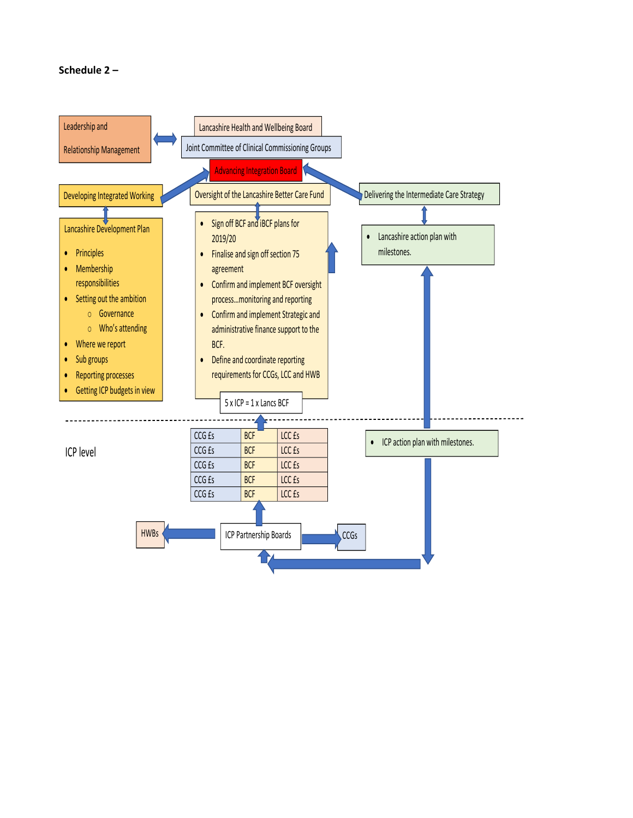## **Schedule 2 –**

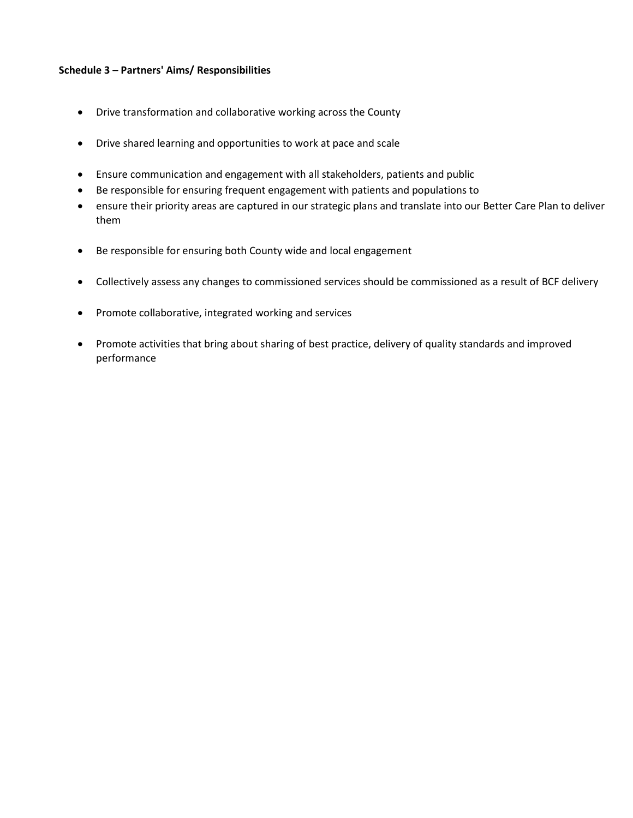#### **Schedule 3 – Partners' Aims/ Responsibilities**

- Drive transformation and collaborative working across the County
- Drive shared learning and opportunities to work at pace and scale
- Ensure communication and engagement with all stakeholders, patients and public
- Be responsible for ensuring frequent engagement with patients and populations to
- ensure their priority areas are captured in our strategic plans and translate into our Better Care Plan to deliver them
- Be responsible for ensuring both County wide and local engagement
- Collectively assess any changes to commissioned services should be commissioned as a result of BCF delivery
- Promote collaborative, integrated working and services
- Promote activities that bring about sharing of best practice, delivery of quality standards and improved performance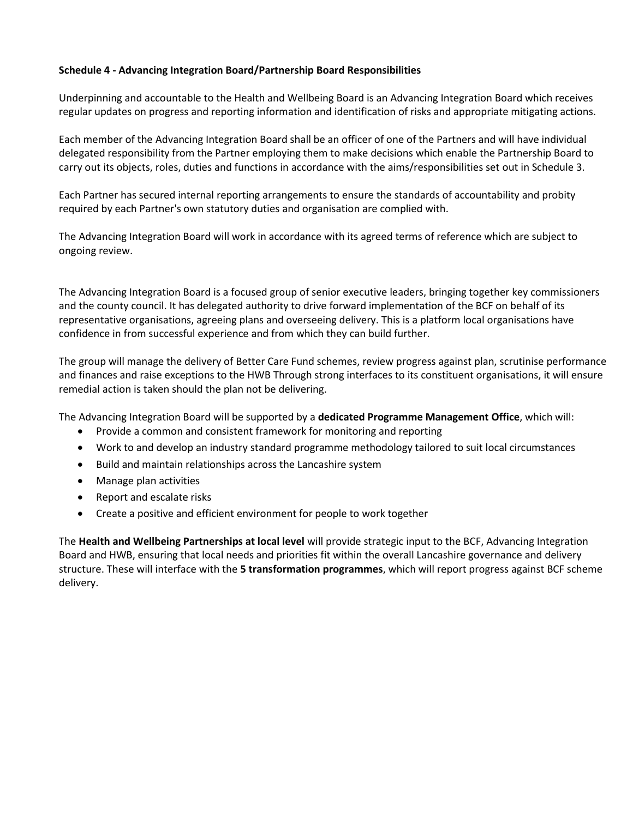#### **Schedule 4 - Advancing Integration Board/Partnership Board Responsibilities**

Underpinning and accountable to the Health and Wellbeing Board is an Advancing Integration Board which receives regular updates on progress and reporting information and identification of risks and appropriate mitigating actions.

Each member of the Advancing Integration Board shall be an officer of one of the Partners and will have individual delegated responsibility from the Partner employing them to make decisions which enable the Partnership Board to carry out its objects, roles, duties and functions in accordance with the aims/responsibilities set out in Schedule 3.

Each Partner has secured internal reporting arrangements to ensure the standards of accountability and probity required by each Partner's own statutory duties and organisation are complied with.

The Advancing Integration Board will work in accordance with its agreed terms of reference which are subject to ongoing review.

The Advancing Integration Board is a focused group of senior executive leaders, bringing together key commissioners and the county council. It has delegated authority to drive forward implementation of the BCF on behalf of its representative organisations, agreeing plans and overseeing delivery. This is a platform local organisations have confidence in from successful experience and from which they can build further.

The group will manage the delivery of Better Care Fund schemes, review progress against plan, scrutinise performance and finances and raise exceptions to the HWB Through strong interfaces to its constituent organisations, it will ensure remedial action is taken should the plan not be delivering.

The Advancing Integration Board will be supported by a **dedicated Programme Management Office**, which will:

- Provide a common and consistent framework for monitoring and reporting
- Work to and develop an industry standard programme methodology tailored to suit local circumstances
- Build and maintain relationships across the Lancashire system
- Manage plan activities
- Report and escalate risks
- Create a positive and efficient environment for people to work together

The **Health and Wellbeing Partnerships at local level** will provide strategic input to the BCF, Advancing Integration Board and HWB, ensuring that local needs and priorities fit within the overall Lancashire governance and delivery structure. These will interface with the **5 transformation programmes**, which will report progress against BCF scheme delivery.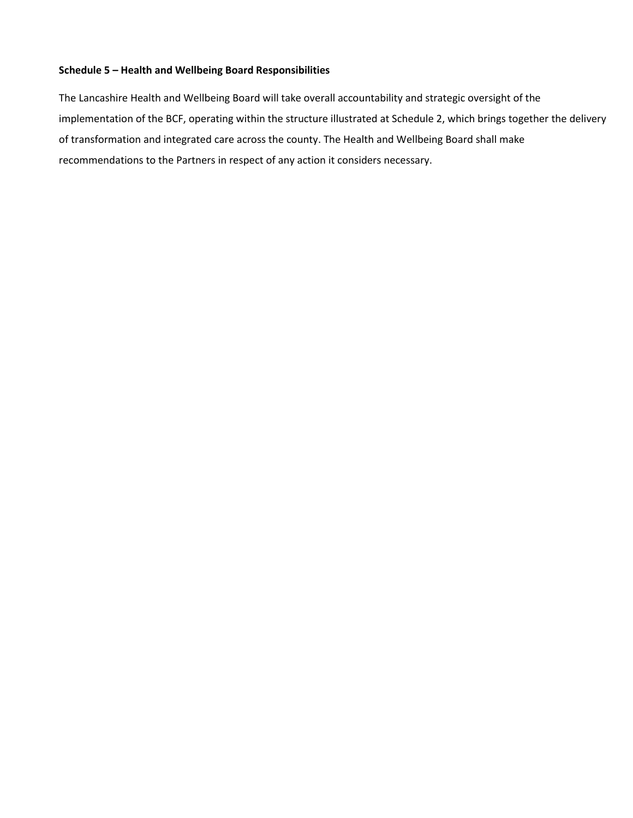#### **Schedule 5 – Health and Wellbeing Board Responsibilities**

The Lancashire Health and Wellbeing Board will take overall accountability and strategic oversight of the implementation of the BCF, operating within the structure illustrated at Schedule 2, which brings together the delivery of transformation and integrated care across the county. The Health and Wellbeing Board shall make recommendations to the Partners in respect of any action it considers necessary.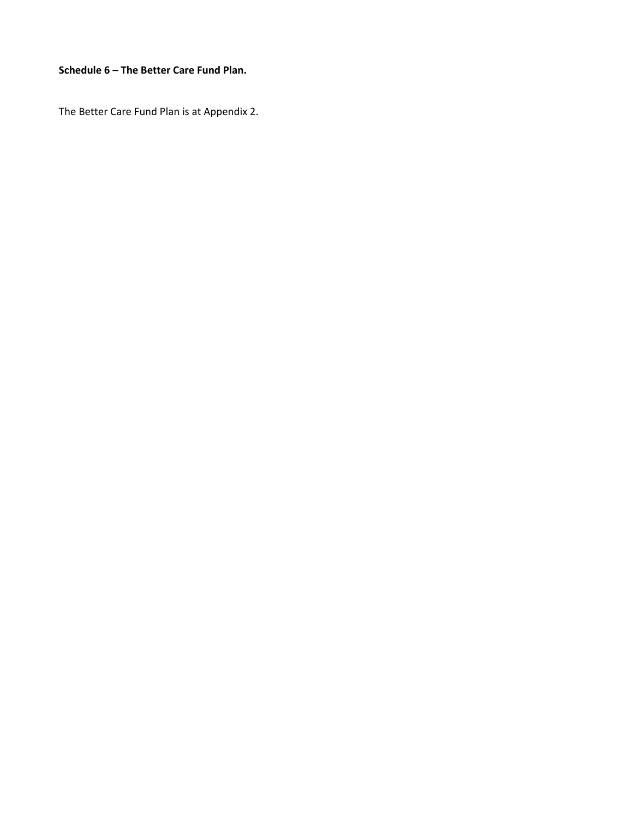#### **Schedule 6 – The Better Care Fund Plan.**

The Better Care Fund Plan is at Appendix 2.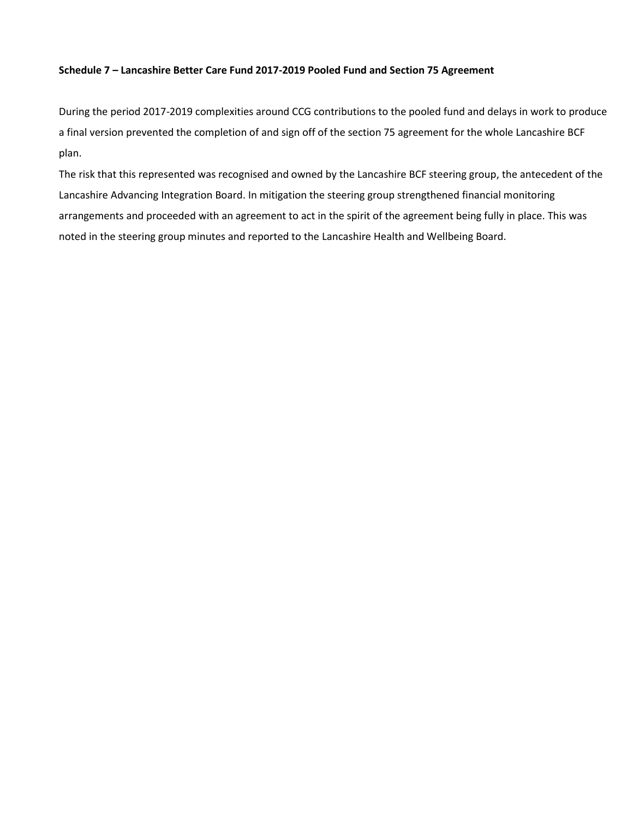#### **Schedule 7 – Lancashire Better Care Fund 2017-2019 Pooled Fund and Section 75 Agreement**

During the period 2017-2019 complexities around CCG contributions to the pooled fund and delays in work to produce a final version prevented the completion of and sign off of the section 75 agreement for the whole Lancashire BCF plan.

The risk that this represented was recognised and owned by the Lancashire BCF steering group, the antecedent of the Lancashire Advancing Integration Board. In mitigation the steering group strengthened financial monitoring arrangements and proceeded with an agreement to act in the spirit of the agreement being fully in place. This was noted in the steering group minutes and reported to the Lancashire Health and Wellbeing Board.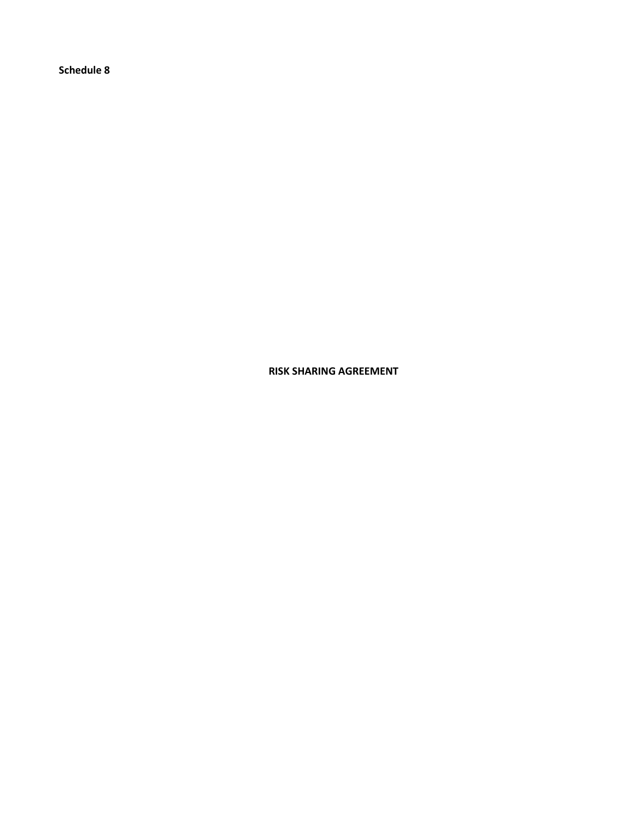**Schedule 8** 

**RISK SHARING AGREEMENT**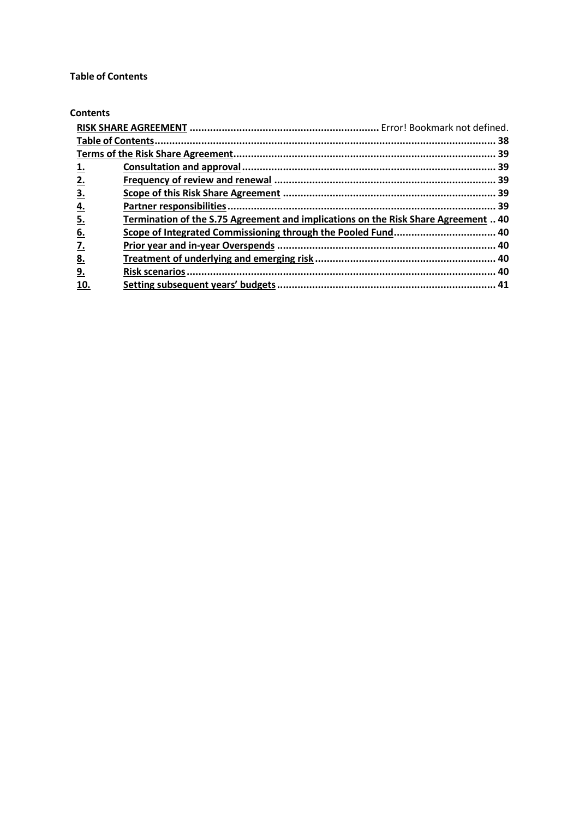#### <span id="page-39-0"></span>**Table of Contents**

#### **Contents**

|                   |                                                                                    | 38 |
|-------------------|------------------------------------------------------------------------------------|----|
|                   |                                                                                    |    |
| <u>1.</u>         |                                                                                    |    |
| 2.                |                                                                                    |    |
| 3.                |                                                                                    |    |
| <u>4.</u>         |                                                                                    |    |
| 5.                | Termination of the S.75 Agreement and implications on the Risk Share Agreement  40 |    |
| <u>6.</u>         | Scope of Integrated Commissioning through the Pooled Fund 40                       |    |
| $\underline{7}$ . |                                                                                    |    |
| <u>8.</u>         |                                                                                    |    |
| <u>9.</u>         |                                                                                    |    |
| 10.               |                                                                                    |    |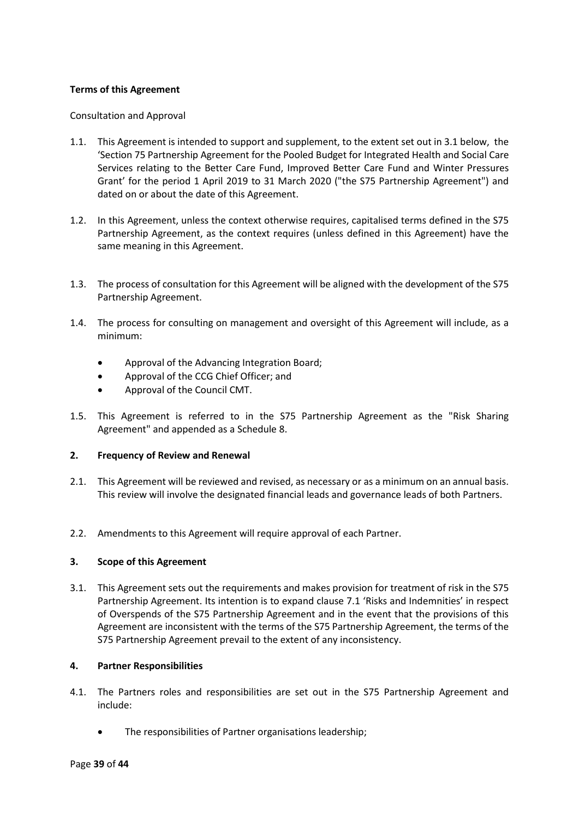#### <span id="page-40-0"></span>**Terms of this Agreement**

#### <span id="page-40-1"></span>Consultation and Approval

- 1.1. This Agreement is intended to support and supplement, to the extent set out in 3.1 below, the 'Section 75 Partnership Agreement for the Pooled Budget for Integrated Health and Social Care Services relating to the Better Care Fund, Improved Better Care Fund and Winter Pressures Grant' for the period 1 April 2019 to 31 March 2020 ("the S75 Partnership Agreement") and dated on or about the date of this Agreement.
- 1.2. In this Agreement, unless the context otherwise requires, capitalised terms defined in the S75 Partnership Agreement, as the context requires (unless defined in this Agreement) have the same meaning in this Agreement.
- 1.3. The process of consultation for this Agreement will be aligned with the development of the S75 Partnership Agreement.
- 1.4. The process for consulting on management and oversight of this Agreement will include, as a minimum:
	- Approval of the Advancing Integration Board;
	- Approval of the CCG Chief Officer; and
	- Approval of the Council CMT.
- 1.5. This Agreement is referred to in the S75 Partnership Agreement as the "Risk Sharing Agreement" and appended as a Schedule 8.

#### <span id="page-40-2"></span>**2. Frequency of Review and Renewal**

- 2.1. This Agreement will be reviewed and revised, as necessary or as a minimum on an annual basis. This review will involve the designated financial leads and governance leads of both Partners.
- 2.2. Amendments to this Agreement will require approval of each Partner.

#### <span id="page-40-3"></span>**3. Scope of this Agreement**

3.1. This Agreement sets out the requirements and makes provision for treatment of risk in the S75 Partnership Agreement. Its intention is to expand clause 7.1 'Risks and Indemnities' in respect of Overspends of the S75 Partnership Agreement and in the event that the provisions of this Agreement are inconsistent with the terms of the S75 Partnership Agreement, the terms of the S75 Partnership Agreement prevail to the extent of any inconsistency.

#### <span id="page-40-4"></span>**4. Partner Responsibilities**

- 4.1. The Partners roles and responsibilities are set out in the S75 Partnership Agreement and include:
	- The responsibilities of Partner organisations leadership;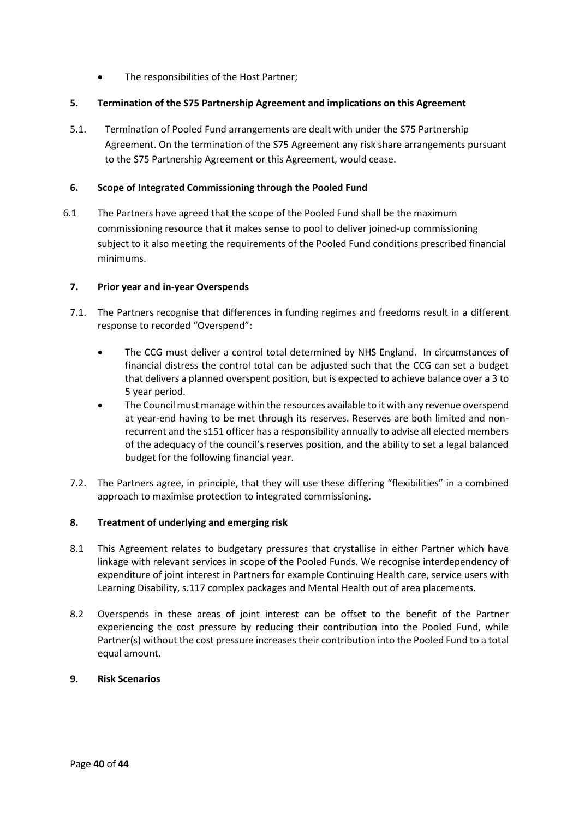The responsibilities of the Host Partner;

## <span id="page-41-0"></span>**5. Termination of the S75 Partnership Agreement and implications on this Agreement**

5.1. Termination of Pooled Fund arrangements are dealt with under the S75 Partnership Agreement. On the termination of the S75 Agreement any risk share arrangements pursuant to the S75 Partnership Agreement or this Agreement, would cease.

## <span id="page-41-1"></span>**6. Scope of Integrated Commissioning through the Pooled Fund**

6.1 The Partners have agreed that the scope of the Pooled Fund shall be the maximum commissioning resource that it makes sense to pool to deliver joined-up commissioning subject to it also meeting the requirements of the Pooled Fund conditions prescribed financial minimums.

## <span id="page-41-2"></span>**7. Prior year and in-year Overspends**

- 7.1. The Partners recognise that differences in funding regimes and freedoms result in a different response to recorded "Overspend":
	- The CCG must deliver a control total determined by NHS England. In circumstances of financial distress the control total can be adjusted such that the CCG can set a budget that delivers a planned overspent position, but is expected to achieve balance over a 3 to 5 year period.
	- The Council must manage within the resources available to it with any revenue overspend at year-end having to be met through its reserves. Reserves are both limited and nonrecurrent and the s151 officer has a responsibility annually to advise all elected members of the adequacy of the council's reserves position, and the ability to set a legal balanced budget for the following financial year.
- 7.2. The Partners agree, in principle, that they will use these differing "flexibilities" in a combined approach to maximise protection to integrated commissioning.

## <span id="page-41-3"></span>**8. Treatment of underlying and emerging risk**

- 8.1 This Agreement relates to budgetary pressures that crystallise in either Partner which have linkage with relevant services in scope of the Pooled Funds. We recognise interdependency of expenditure of joint interest in Partners for example Continuing Health care, service users with Learning Disability, s.117 complex packages and Mental Health out of area placements.
- 8.2 Overspends in these areas of joint interest can be offset to the benefit of the Partner experiencing the cost pressure by reducing their contribution into the Pooled Fund, while Partner(s) without the cost pressure increases their contribution into the Pooled Fund to a total equal amount.

## <span id="page-41-4"></span>**9. Risk Scenarios**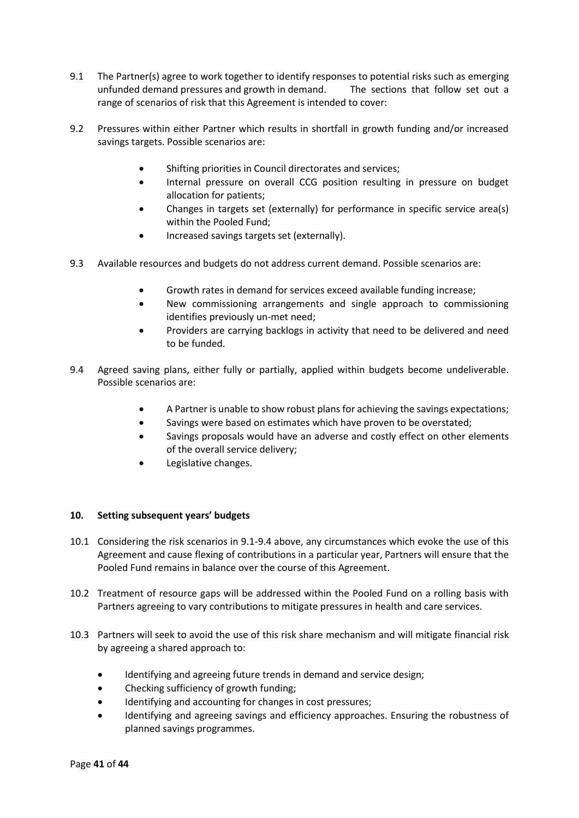- 9.1 The Partner(s) agree to work together to identify responses to potential risks such as emerging unfunded demand pressures and growth in demand. The sections that follow set out a range of scenarios of risk that this Agreement is intended to cover:
- 9.2 Pressures within either Partner which results in shortfall in growth funding and/or increased savings targets. Possible scenarios are:
	- Shifting priorities in Council directorates and services;
	- Internal pressure on overall CCG position resulting in pressure on budget allocation for patients;
	- Changes in targets set (externally) for performance in specific service area(s) within the Pooled Fund;
	- Increased savings targets set (externally).
- 9.3 Available resources and budgets do not address current demand. Possible scenarios are:
	- Growth rates in demand for services exceed available funding increase;
	- New commissioning arrangements and single approach to commissioning identifies previously un-met need;
	- Providers are carrying backlogs in activity that need to be delivered and need to be funded.
- 9.4 Agreed saving plans, either fully or partially, applied within budgets become undeliverable. Possible scenarios are:
	- A Partner is unable to show robust plans for achieving the savings expectations;
	- Savings were based on estimates which have proven to be overstated;
	- Savings proposals would have an adverse and costly effect on other elements of the overall service delivery;
	- Legislative changes.

#### <span id="page-42-0"></span>**10. Setting subsequent years' budgets**

- 10.1 Considering the risk scenarios in 9.1-9.4 above, any circumstances which evoke the use of this Agreement and cause flexing of contributions in a particular year, Partners will ensure that the Pooled Fund remains in balance over the course of this Agreement.
- 10.2 Treatment of resource gaps will be addressed within the Pooled Fund on a rolling basis with Partners agreeing to vary contributions to mitigate pressures in health and care services.
- 10.3 Partners will seek to avoid the use of this risk share mechanism and will mitigate financial risk by agreeing a shared approach to:
	- Identifying and agreeing future trends in demand and service design;
	- Checking sufficiency of growth funding;
	- Identifying and accounting for changes in cost pressures;
	- Identifying and agreeing savings and efficiency approaches. Ensuring the robustness of planned savings programmes.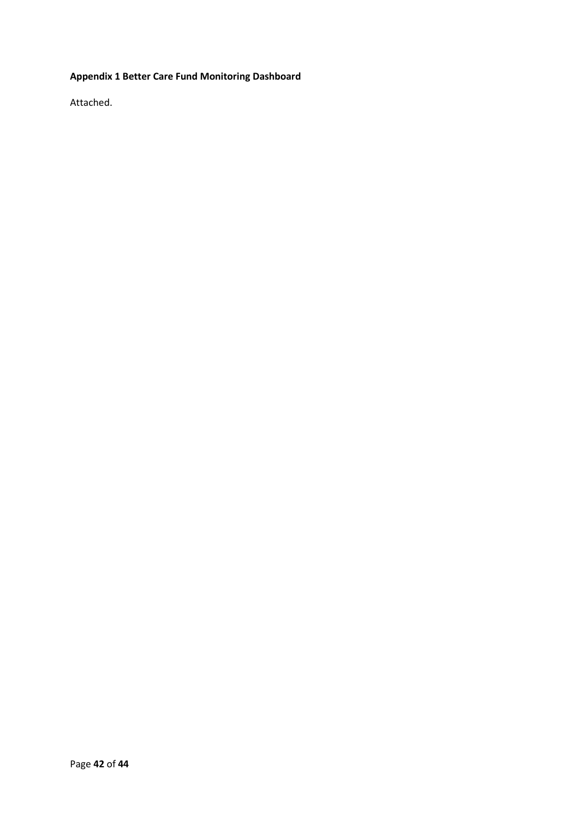## **Appendix 1 Better Care Fund Monitoring Dashboard**

Attached.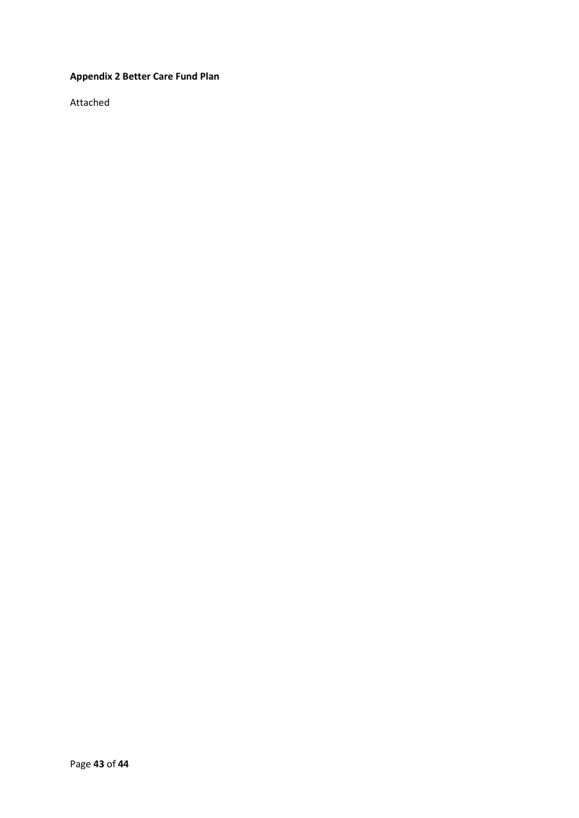## **Appendix 2 Better Care Fund Plan**

Attached